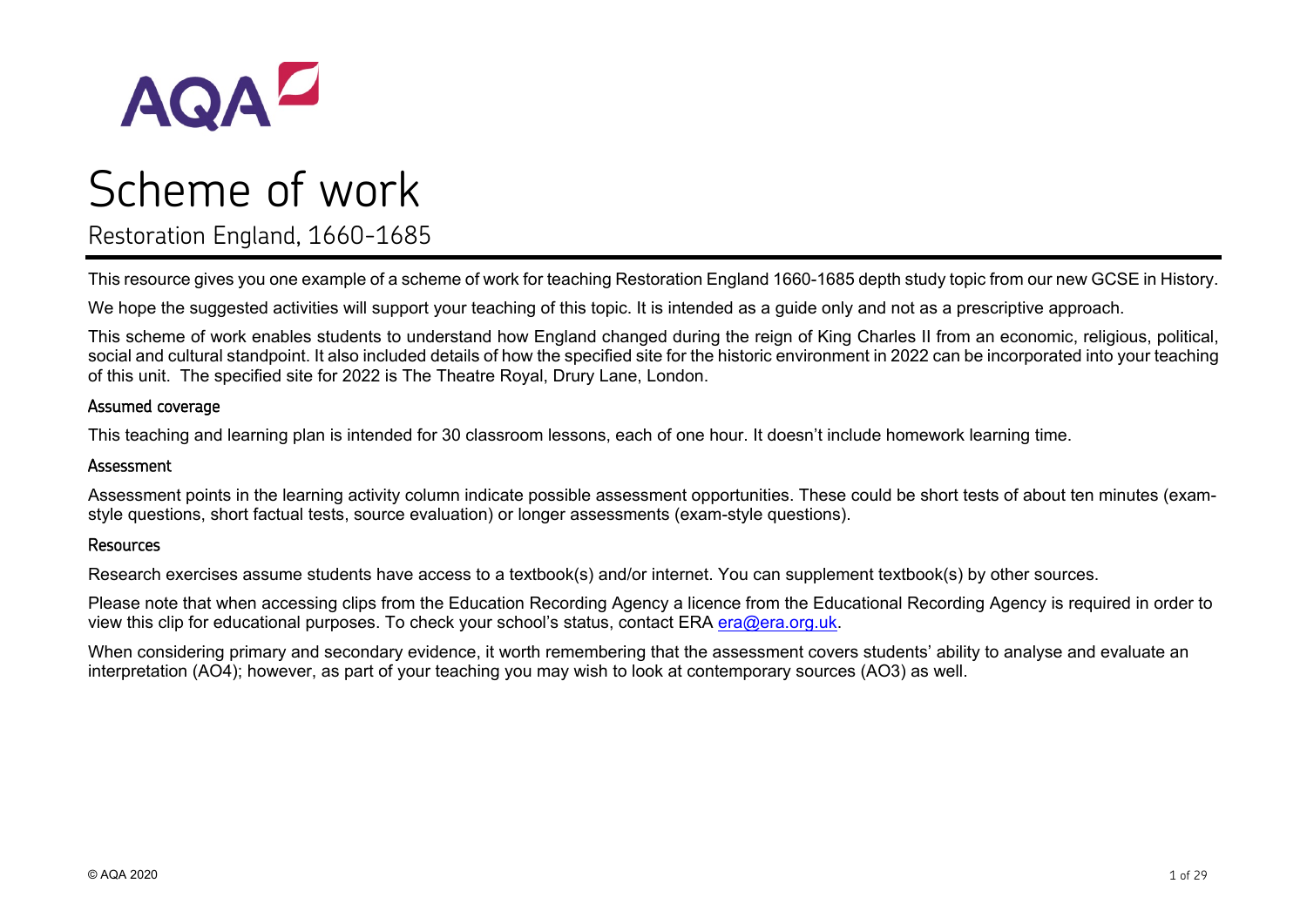

# Scheme of work

Restoration England, 1660-1685

This resource gives you one example of a scheme of work for teaching Restoration England 1660-1685 depth study topic from our new GCSE in History.

We hope the suggested activities will support your teaching of this topic. It is intended as a guide only and not as a prescriptive approach.

This scheme of work enables students to understand how England changed during the reign of King Charles II from an economic, religious, political, social and cultural standpoint. It also included details of how the specified site for the historic environment in 2022 can be incorporated into your teaching of this unit. The specified site for 2022 is The Theatre Royal, Drury Lane, London.

### Assumed coverage

This teaching and learning plan is intended for 30 classroom lessons, each of one hour. It doesn't include homework learning time.

### Assessment

Assessment points in the learning activity column indicate possible assessment opportunities. These could be short tests of about ten minutes (examstyle questions, short factual tests, source evaluation) or longer assessments (exam-style questions).

### Resources

Research exercises assume students have access to a textbook(s) and/or internet. You can supplement textbook(s) by other sources.

Please note that when accessing clips from the Education Recording Agency a licence from the Educational Recording Agency is required in order to view this clip for educational purposes. To check your school's status, contact ERA [era@era.org.uk.](mailto:era@era.org.uk)

When considering primary and secondary evidence, it worth remembering that the assessment covers students' ability to analyse and evaluate an interpretation (AO4); however, as part of your teaching you may wish to look at contemporary sources (AO3) as well.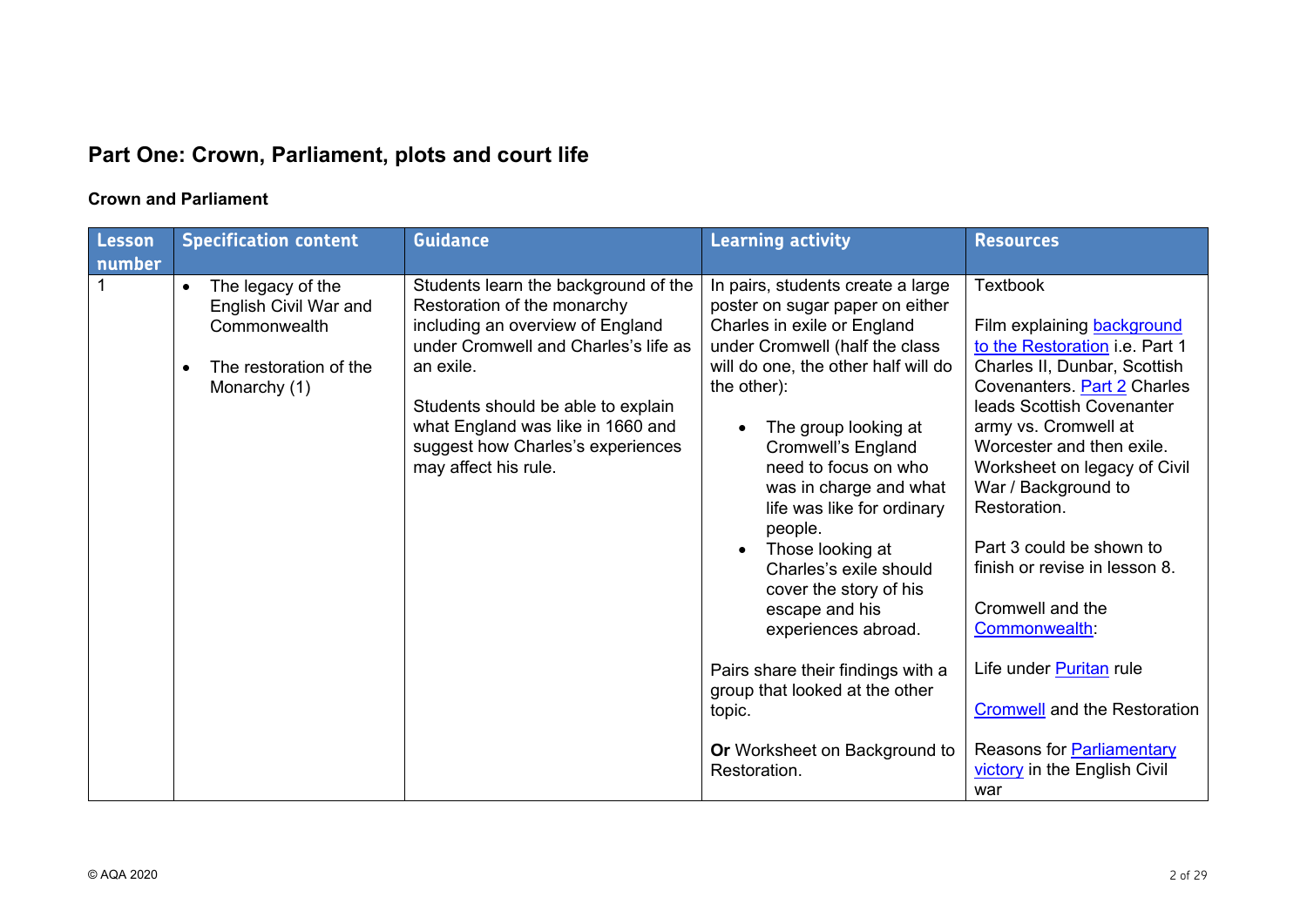# **Part One: Crown, Parliament, plots and court life**

## **Crown and Parliament**

| number                                                                                                                                                                                                                                                                                                                                                                                                                                                                                                                                                                                                                                                                                                                                                                                                                                                                                                                                                                                                                                                      |                                                                                                                                                                                                                                                                                                                                                                                                                                                                                                                                    |
|-------------------------------------------------------------------------------------------------------------------------------------------------------------------------------------------------------------------------------------------------------------------------------------------------------------------------------------------------------------------------------------------------------------------------------------------------------------------------------------------------------------------------------------------------------------------------------------------------------------------------------------------------------------------------------------------------------------------------------------------------------------------------------------------------------------------------------------------------------------------------------------------------------------------------------------------------------------------------------------------------------------------------------------------------------------|------------------------------------------------------------------------------------------------------------------------------------------------------------------------------------------------------------------------------------------------------------------------------------------------------------------------------------------------------------------------------------------------------------------------------------------------------------------------------------------------------------------------------------|
|                                                                                                                                                                                                                                                                                                                                                                                                                                                                                                                                                                                                                                                                                                                                                                                                                                                                                                                                                                                                                                                             |                                                                                                                                                                                                                                                                                                                                                                                                                                                                                                                                    |
| <b>Textbook</b><br>Students learn the background of the<br>In pairs, students create a large<br>The legacy of the<br>$\bullet$<br>English Civil War and<br>Restoration of the monarchy<br>poster on sugar paper on either<br>including an overview of England<br>Charles in exile or England<br>Commonwealth<br>under Cromwell and Charles's life as<br>under Cromwell (half the class<br>will do one, the other half will do<br>an exile.<br>The restoration of the<br>$\bullet$<br>the other):<br>Monarchy (1)<br>Students should be able to explain<br>what England was like in 1660 and<br>The group looking at<br>suggest how Charles's experiences<br>Cromwell's England<br>may affect his rule.<br>need to focus on who<br>was in charge and what<br>life was like for ordinary<br>people.<br>Those looking at<br>Charles's exile should<br>cover the story of his<br>escape and his<br>experiences abroad.<br>Pairs share their findings with a<br>group that looked at the other<br>topic.<br>Or Worksheet on Background to<br>Restoration.<br>war | Film explaining background<br>to the Restoration i.e. Part 1<br>Charles II, Dunbar, Scottish<br>Covenanters. Part 2 Charles<br>leads Scottish Covenanter<br>army vs. Cromwell at<br>Worcester and then exile.<br>Worksheet on legacy of Civil<br>War / Background to<br>Restoration.<br>Part 3 could be shown to<br>finish or revise in lesson 8.<br>Cromwell and the<br><b>Commonwealth</b><br>Life under Puritan rule<br><b>Cromwell and the Restoration</b><br>Reasons for <b>Parliamentary</b><br>victory in the English Civil |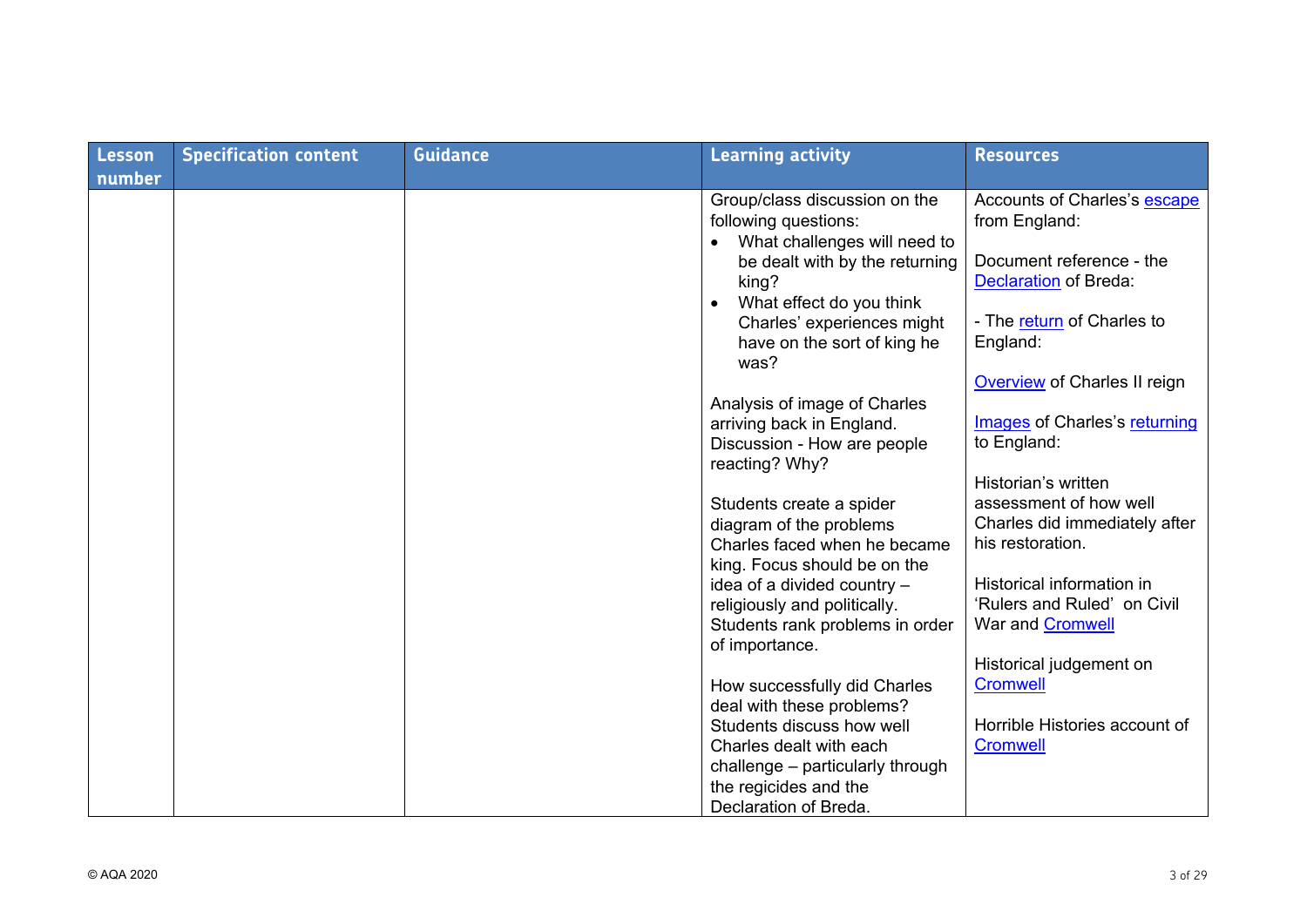| Lesson | <b>Specification content</b> | <b>Guidance</b> | <b>Learning activity</b>                                                                                   | <b>Resources</b>                                         |
|--------|------------------------------|-----------------|------------------------------------------------------------------------------------------------------------|----------------------------------------------------------|
| number |                              |                 |                                                                                                            |                                                          |
|        |                              |                 | Group/class discussion on the<br>following questions:<br>What challenges will need to<br>$\bullet$         | Accounts of Charles's escape<br>from England:            |
|        |                              |                 | be dealt with by the returning<br>king?<br>What effect do you think<br>$\bullet$                           | Document reference - the<br><b>Declaration</b> of Breda: |
|        |                              |                 | Charles' experiences might<br>have on the sort of king he<br>was?                                          | - The return of Charles to<br>England:                   |
|        |                              |                 |                                                                                                            | <b>Overview of Charles II reign</b>                      |
|        |                              |                 | Analysis of image of Charles<br>arriving back in England.<br>Discussion - How are people<br>reacting? Why? | Images of Charles's returning<br>to England:             |
|        |                              |                 |                                                                                                            | Historian's written                                      |
|        |                              |                 | Students create a spider                                                                                   | assessment of how well                                   |
|        |                              |                 | diagram of the problems<br>Charles faced when he became<br>king. Focus should be on the                    | Charles did immediately after<br>his restoration.        |
|        |                              |                 | idea of a divided country -                                                                                | Historical information in                                |
|        |                              |                 | religiously and politically.                                                                               | 'Rulers and Ruled' on Civil                              |
|        |                              |                 | Students rank problems in order<br>of importance.                                                          | War and Cromwell                                         |
|        |                              |                 |                                                                                                            | Historical judgement on                                  |
|        |                              |                 | How successfully did Charles                                                                               | <b>Cromwell</b>                                          |
|        |                              |                 | deal with these problems?<br>Students discuss how well                                                     | Horrible Histories account of                            |
|        |                              |                 | Charles dealt with each                                                                                    | <b>Cromwell</b>                                          |
|        |                              |                 | challenge - particularly through                                                                           |                                                          |
|        |                              |                 | the regicides and the                                                                                      |                                                          |
|        |                              |                 | Declaration of Breda.                                                                                      |                                                          |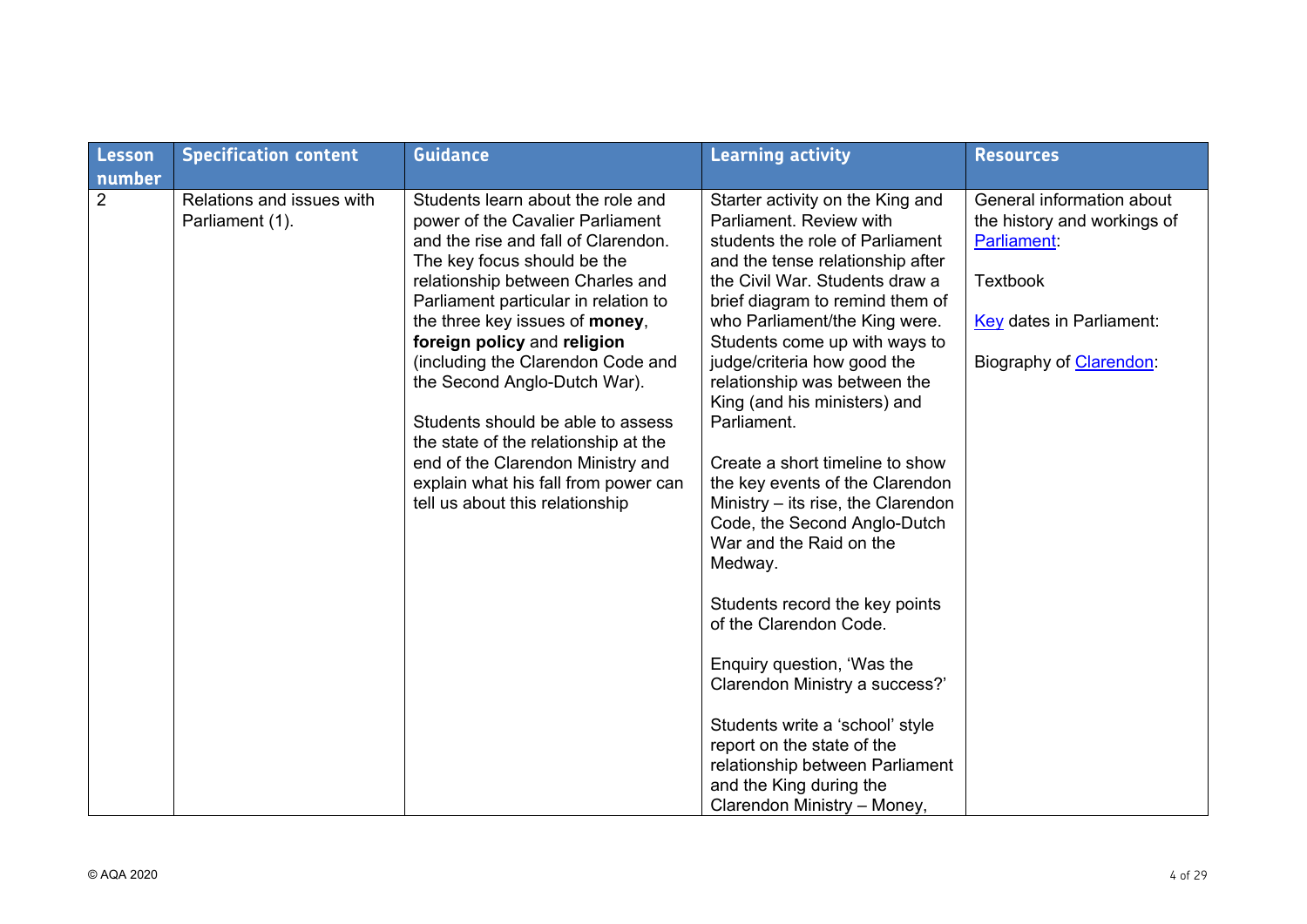| Lesson<br>number | <b>Specification content</b>                 | <b>Guidance</b>                                                                                                                                                                                                                                                                                                                                                                                                                                                                                                                                            | <b>Learning activity</b>                                                                                                                                                                                                                                                                                                                                                                                                                                                                                                                                                                                                                                                                                                                                                                                                                                              | <b>Resources</b>                                                                                                                                                 |
|------------------|----------------------------------------------|------------------------------------------------------------------------------------------------------------------------------------------------------------------------------------------------------------------------------------------------------------------------------------------------------------------------------------------------------------------------------------------------------------------------------------------------------------------------------------------------------------------------------------------------------------|-----------------------------------------------------------------------------------------------------------------------------------------------------------------------------------------------------------------------------------------------------------------------------------------------------------------------------------------------------------------------------------------------------------------------------------------------------------------------------------------------------------------------------------------------------------------------------------------------------------------------------------------------------------------------------------------------------------------------------------------------------------------------------------------------------------------------------------------------------------------------|------------------------------------------------------------------------------------------------------------------------------------------------------------------|
| $\overline{2}$   | Relations and issues with<br>Parliament (1). | Students learn about the role and<br>power of the Cavalier Parliament<br>and the rise and fall of Clarendon.<br>The key focus should be the<br>relationship between Charles and<br>Parliament particular in relation to<br>the three key issues of money,<br>foreign policy and religion<br>(including the Clarendon Code and<br>the Second Anglo-Dutch War).<br>Students should be able to assess<br>the state of the relationship at the<br>end of the Clarendon Ministry and<br>explain what his fall from power can<br>tell us about this relationship | Starter activity on the King and<br>Parliament, Review with<br>students the role of Parliament<br>and the tense relationship after<br>the Civil War, Students draw a<br>brief diagram to remind them of<br>who Parliament/the King were.<br>Students come up with ways to<br>judge/criteria how good the<br>relationship was between the<br>King (and his ministers) and<br>Parliament.<br>Create a short timeline to show<br>the key events of the Clarendon<br>Ministry $-$ its rise, the Clarendon<br>Code, the Second Anglo-Dutch<br>War and the Raid on the<br>Medway.<br>Students record the key points<br>of the Clarendon Code.<br>Enquiry question, 'Was the<br>Clarendon Ministry a success?'<br>Students write a 'school' style<br>report on the state of the<br>relationship between Parliament<br>and the King during the<br>Clarendon Ministry - Money, | General information about<br>the history and workings of<br>Parliament:<br><b>Textbook</b><br><b>Key dates in Parliament:</b><br>Biography of <b>Clarendon</b> : |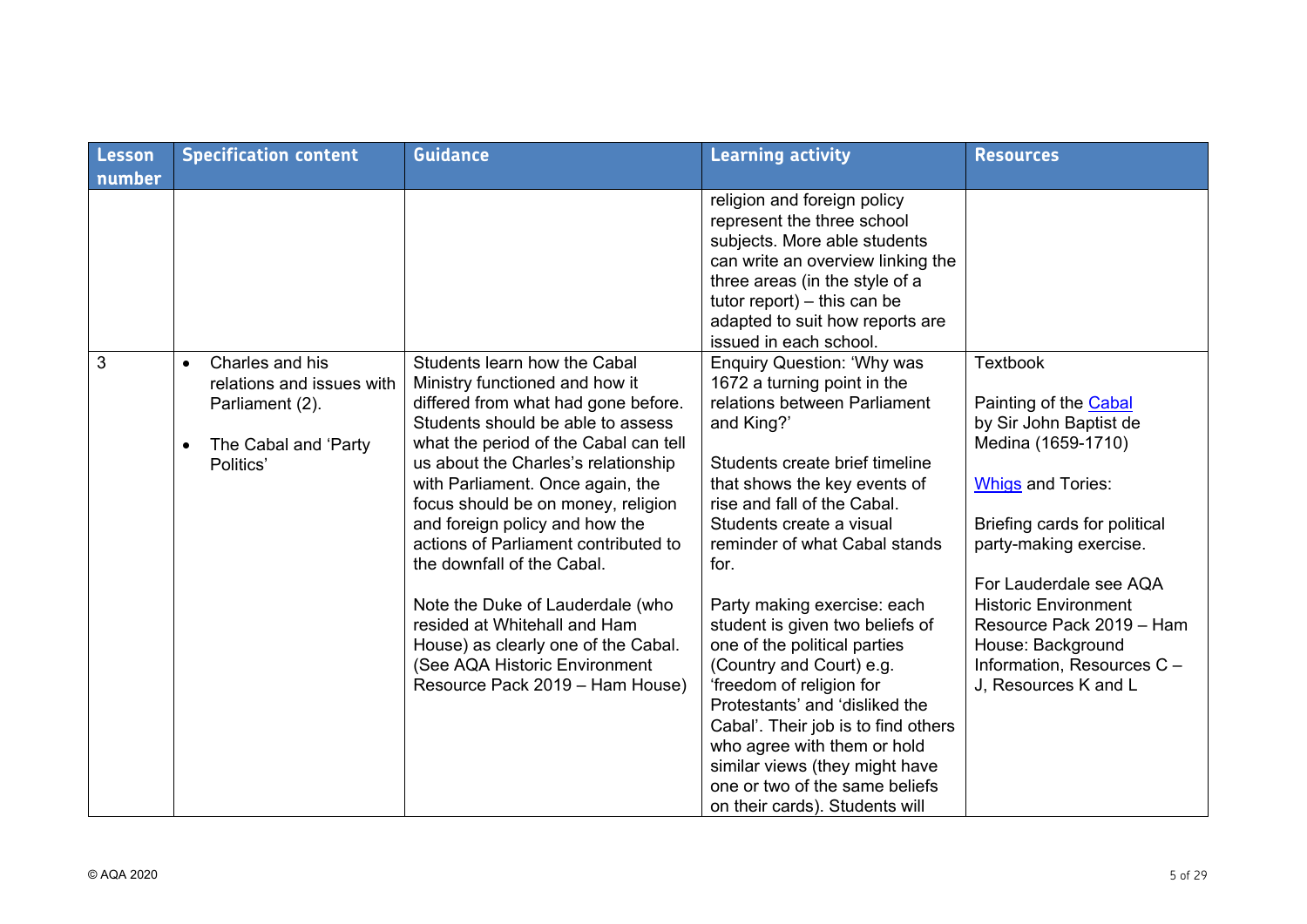| <b>Lesson</b> | <b>Specification content</b>                                                                                                   | <b>Guidance</b>                                                                                                                                                                                                                                                                                                                                                                                                                                                                                                                                                                             | <b>Learning activity</b>                                                                                                                                                                                                                                                                                                                                                                                                                                                                                                                                                                                                                                     | <b>Resources</b>                                                                                                                                                                                                                                                                                                                               |
|---------------|--------------------------------------------------------------------------------------------------------------------------------|---------------------------------------------------------------------------------------------------------------------------------------------------------------------------------------------------------------------------------------------------------------------------------------------------------------------------------------------------------------------------------------------------------------------------------------------------------------------------------------------------------------------------------------------------------------------------------------------|--------------------------------------------------------------------------------------------------------------------------------------------------------------------------------------------------------------------------------------------------------------------------------------------------------------------------------------------------------------------------------------------------------------------------------------------------------------------------------------------------------------------------------------------------------------------------------------------------------------------------------------------------------------|------------------------------------------------------------------------------------------------------------------------------------------------------------------------------------------------------------------------------------------------------------------------------------------------------------------------------------------------|
| number        |                                                                                                                                |                                                                                                                                                                                                                                                                                                                                                                                                                                                                                                                                                                                             |                                                                                                                                                                                                                                                                                                                                                                                                                                                                                                                                                                                                                                                              |                                                                                                                                                                                                                                                                                                                                                |
|               |                                                                                                                                |                                                                                                                                                                                                                                                                                                                                                                                                                                                                                                                                                                                             | religion and foreign policy<br>represent the three school<br>subjects. More able students<br>can write an overview linking the<br>three areas (in the style of a<br>tutor report) $-$ this can be<br>adapted to suit how reports are<br>issued in each school.                                                                                                                                                                                                                                                                                                                                                                                               |                                                                                                                                                                                                                                                                                                                                                |
| 3             | Charles and his<br>$\bullet$<br>relations and issues with<br>Parliament (2).<br>The Cabal and 'Party<br>$\bullet$<br>Politics' | Students learn how the Cabal<br>Ministry functioned and how it<br>differed from what had gone before.<br>Students should be able to assess<br>what the period of the Cabal can tell<br>us about the Charles's relationship<br>with Parliament. Once again, the<br>focus should be on money, religion<br>and foreign policy and how the<br>actions of Parliament contributed to<br>the downfall of the Cabal.<br>Note the Duke of Lauderdale (who<br>resided at Whitehall and Ham<br>House) as clearly one of the Cabal.<br>(See AQA Historic Environment<br>Resource Pack 2019 - Ham House) | <b>Enquiry Question: 'Why was</b><br>1672 a turning point in the<br>relations between Parliament<br>and King?'<br>Students create brief timeline<br>that shows the key events of<br>rise and fall of the Cabal.<br>Students create a visual<br>reminder of what Cabal stands<br>for.<br>Party making exercise: each<br>student is given two beliefs of<br>one of the political parties<br>(Country and Court) e.g.<br>'freedom of religion for<br>Protestants' and 'disliked the<br>Cabal'. Their job is to find others<br>who agree with them or hold<br>similar views (they might have<br>one or two of the same beliefs<br>on their cards). Students will | <b>Textbook</b><br>Painting of the Cabal<br>by Sir John Baptist de<br>Medina (1659-1710)<br><b>Whigs and Tories:</b><br>Briefing cards for political<br>party-making exercise.<br>For Lauderdale see AQA<br><b>Historic Environment</b><br>Resource Pack 2019 - Ham<br>House: Background<br>Information, Resources C -<br>J, Resources K and L |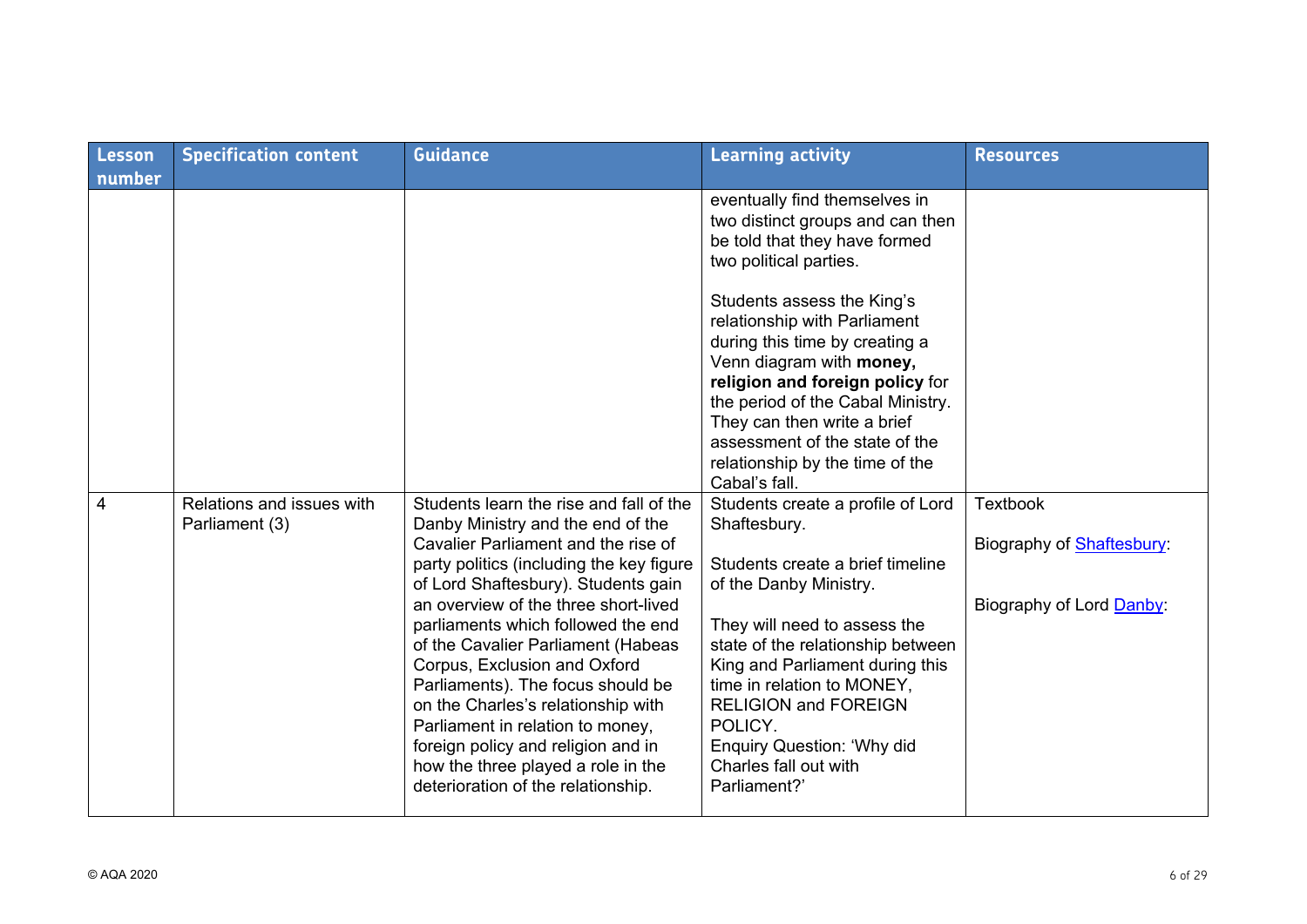| <b>Lesson</b><br>number | <b>Specification content</b>                | <b>Guidance</b>                                                                                                                                                                                                                                                                                                                                                                                                                                                                                                                                                                             | <b>Learning activity</b>                                                                                                                                                                                                                                                                                                                                                                                                                              | <b>Resources</b>                                                                |
|-------------------------|---------------------------------------------|---------------------------------------------------------------------------------------------------------------------------------------------------------------------------------------------------------------------------------------------------------------------------------------------------------------------------------------------------------------------------------------------------------------------------------------------------------------------------------------------------------------------------------------------------------------------------------------------|-------------------------------------------------------------------------------------------------------------------------------------------------------------------------------------------------------------------------------------------------------------------------------------------------------------------------------------------------------------------------------------------------------------------------------------------------------|---------------------------------------------------------------------------------|
|                         |                                             |                                                                                                                                                                                                                                                                                                                                                                                                                                                                                                                                                                                             | eventually find themselves in<br>two distinct groups and can then<br>be told that they have formed<br>two political parties.<br>Students assess the King's<br>relationship with Parliament<br>during this time by creating a<br>Venn diagram with money,<br>religion and foreign policy for<br>the period of the Cabal Ministry.<br>They can then write a brief<br>assessment of the state of the<br>relationship by the time of the<br>Cabal's fall. |                                                                                 |
| $\overline{4}$          | Relations and issues with<br>Parliament (3) | Students learn the rise and fall of the<br>Danby Ministry and the end of the<br>Cavalier Parliament and the rise of<br>party politics (including the key figure<br>of Lord Shaftesbury). Students gain<br>an overview of the three short-lived<br>parliaments which followed the end<br>of the Cavalier Parliament (Habeas<br>Corpus, Exclusion and Oxford<br>Parliaments). The focus should be<br>on the Charles's relationship with<br>Parliament in relation to money,<br>foreign policy and religion and in<br>how the three played a role in the<br>deterioration of the relationship. | Students create a profile of Lord<br>Shaftesbury.<br>Students create a brief timeline<br>of the Danby Ministry.<br>They will need to assess the<br>state of the relationship between<br>King and Parliament during this<br>time in relation to MONEY,<br><b>RELIGION and FOREIGN</b><br>POLICY.<br><b>Enquiry Question: 'Why did</b><br>Charles fall out with<br>Parliament?'                                                                         | <b>Textbook</b><br>Biography of <b>Shaftesbury:</b><br>Biography of Lord Danby: |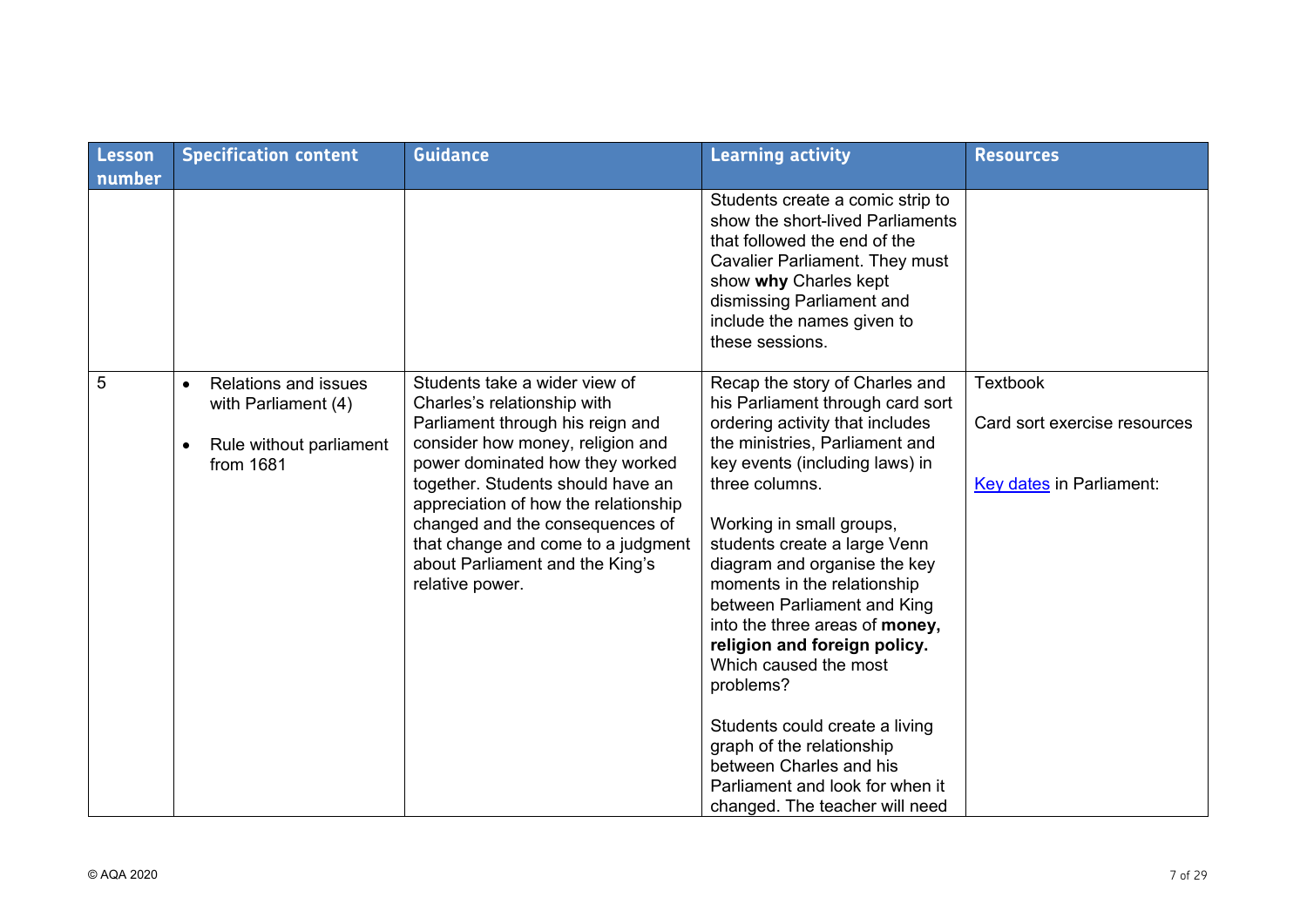| Lesson | <b>Specification content</b>                                                               | <b>Guidance</b>                                                                                                                                                                                                                                                                                                                                                                     | <b>Learning activity</b>                                                                                                                                                                                                                                                                                                                                                                                                                                                                                                                                                                                                     | <b>Resources</b>                                                                   |
|--------|--------------------------------------------------------------------------------------------|-------------------------------------------------------------------------------------------------------------------------------------------------------------------------------------------------------------------------------------------------------------------------------------------------------------------------------------------------------------------------------------|------------------------------------------------------------------------------------------------------------------------------------------------------------------------------------------------------------------------------------------------------------------------------------------------------------------------------------------------------------------------------------------------------------------------------------------------------------------------------------------------------------------------------------------------------------------------------------------------------------------------------|------------------------------------------------------------------------------------|
| number |                                                                                            |                                                                                                                                                                                                                                                                                                                                                                                     | Students create a comic strip to<br>show the short-lived Parliaments<br>that followed the end of the<br>Cavalier Parliament. They must<br>show why Charles kept<br>dismissing Parliament and<br>include the names given to<br>these sessions.                                                                                                                                                                                                                                                                                                                                                                                |                                                                                    |
| 5      | <b>Relations and issues</b><br>with Parliament (4)<br>Rule without parliament<br>from 1681 | Students take a wider view of<br>Charles's relationship with<br>Parliament through his reign and<br>consider how money, religion and<br>power dominated how they worked<br>together. Students should have an<br>appreciation of how the relationship<br>changed and the consequences of<br>that change and come to a judgment<br>about Parliament and the King's<br>relative power. | Recap the story of Charles and<br>his Parliament through card sort<br>ordering activity that includes<br>the ministries, Parliament and<br>key events (including laws) in<br>three columns.<br>Working in small groups,<br>students create a large Venn<br>diagram and organise the key<br>moments in the relationship<br>between Parliament and King<br>into the three areas of money,<br>religion and foreign policy.<br>Which caused the most<br>problems?<br>Students could create a living<br>graph of the relationship<br>between Charles and his<br>Parliament and look for when it<br>changed. The teacher will need | <b>Textbook</b><br>Card sort exercise resources<br><b>Key dates in Parliament:</b> |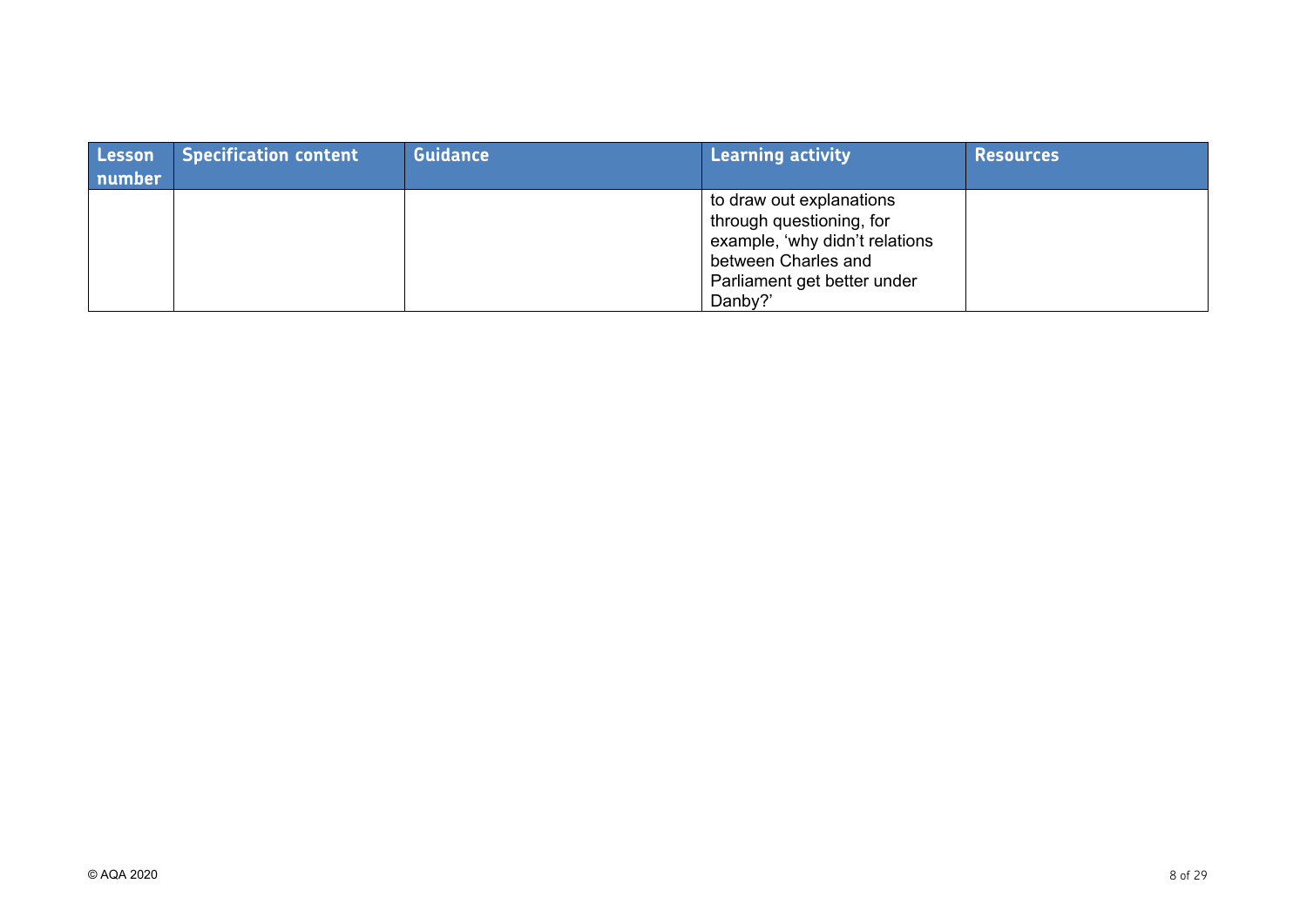| Lesson<br>number | <b>Specification content</b> | <b>Guidance</b> | Learning activity                                                                                                                                       | <b>Resources</b> |
|------------------|------------------------------|-----------------|---------------------------------------------------------------------------------------------------------------------------------------------------------|------------------|
|                  |                              |                 | to draw out explanations<br>through questioning, for<br>example, 'why didn't relations<br>between Charles and<br>Parliament get better under<br>Danby?' |                  |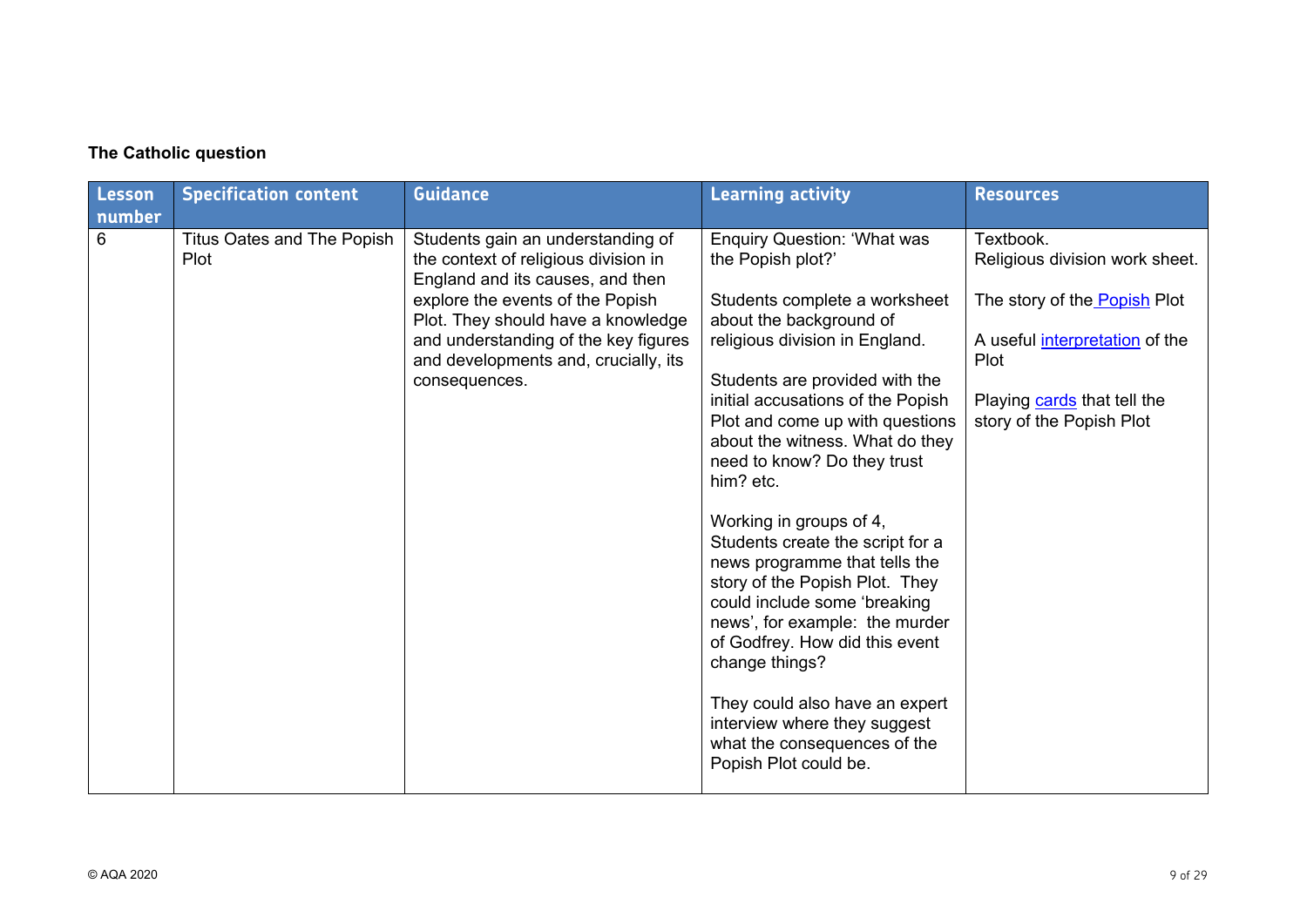|  |  | The Catholic question |
|--|--|-----------------------|
|--|--|-----------------------|

| Lesson | <b>Specification content</b>       | <b>Guidance</b>                                                                                               | <b>Learning activity</b>                                                                                                                                                                                                                             | <b>Resources</b>                                        |
|--------|------------------------------------|---------------------------------------------------------------------------------------------------------------|------------------------------------------------------------------------------------------------------------------------------------------------------------------------------------------------------------------------------------------------------|---------------------------------------------------------|
| number |                                    |                                                                                                               |                                                                                                                                                                                                                                                      |                                                         |
| 6      | Titus Oates and The Popish<br>Plot | Students gain an understanding of<br>the context of religious division in<br>England and its causes, and then | <b>Enquiry Question: 'What was</b><br>the Popish plot?'                                                                                                                                                                                              | Textbook.<br>Religious division work sheet.             |
|        |                                    | explore the events of the Popish<br>Plot. They should have a knowledge                                        | Students complete a worksheet<br>about the background of                                                                                                                                                                                             | The story of the Popish Plot                            |
|        |                                    | and understanding of the key figures<br>and developments and, crucially, its                                  | religious division in England.                                                                                                                                                                                                                       | A useful <i>interpretation</i> of the<br>Plot           |
|        |                                    | consequences.                                                                                                 | Students are provided with the<br>initial accusations of the Popish<br>Plot and come up with questions<br>about the witness. What do they<br>need to know? Do they trust<br>him? etc.                                                                | Playing cards that tell the<br>story of the Popish Plot |
|        |                                    |                                                                                                               | Working in groups of 4,<br>Students create the script for a<br>news programme that tells the<br>story of the Popish Plot. They<br>could include some 'breaking<br>news', for example: the murder<br>of Godfrey. How did this event<br>change things? |                                                         |
|        |                                    |                                                                                                               | They could also have an expert<br>interview where they suggest<br>what the consequences of the<br>Popish Plot could be.                                                                                                                              |                                                         |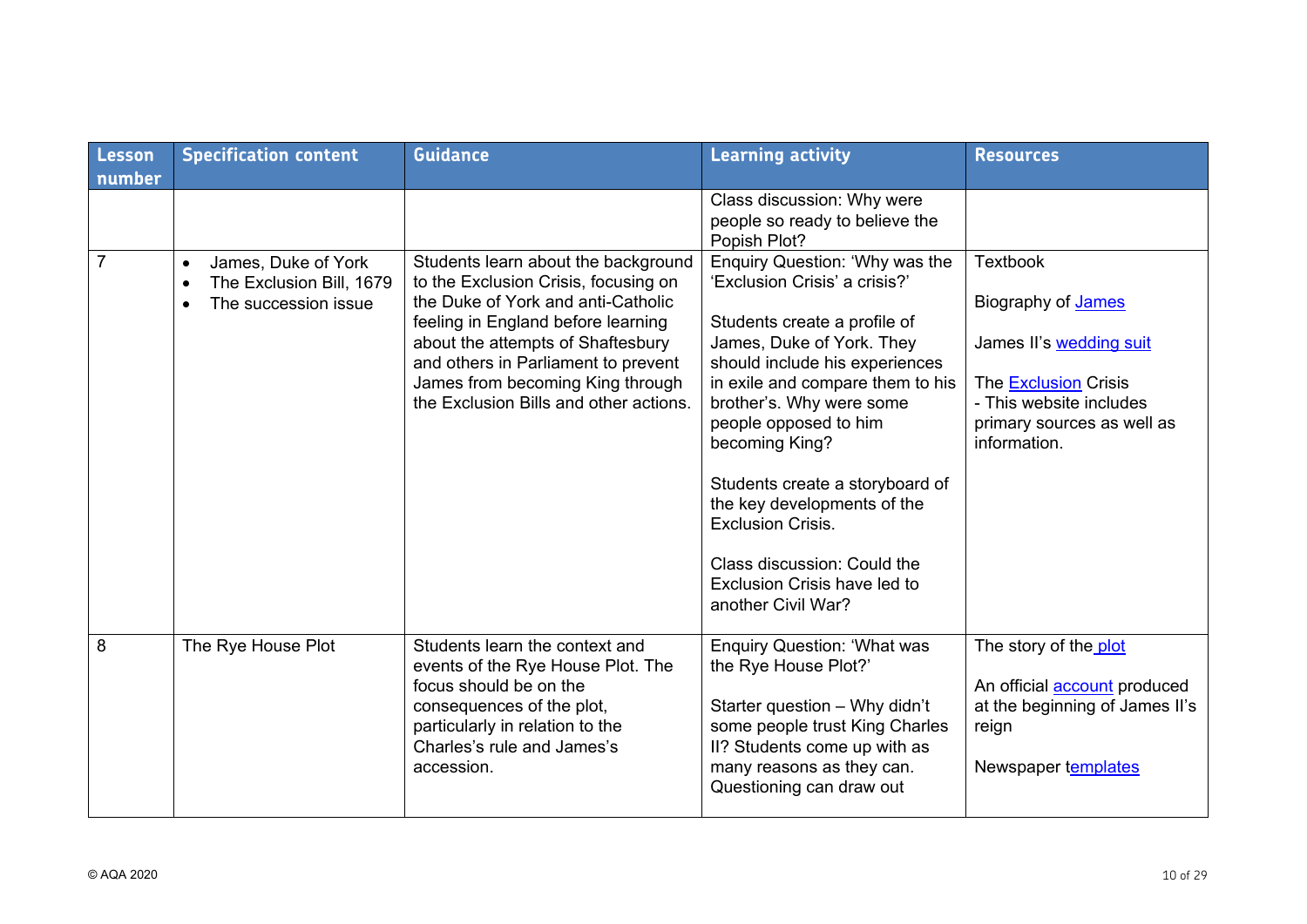| Lesson<br>number | <b>Specification content</b>                                                                      | <b>Guidance</b>                                                                                                                                                                                                                                                                                                   | <b>Learning activity</b>                                                                                                                                                                                                                                                                                                                                                                                                                                     | <b>Resources</b>                                                                                                                                                         |
|------------------|---------------------------------------------------------------------------------------------------|-------------------------------------------------------------------------------------------------------------------------------------------------------------------------------------------------------------------------------------------------------------------------------------------------------------------|--------------------------------------------------------------------------------------------------------------------------------------------------------------------------------------------------------------------------------------------------------------------------------------------------------------------------------------------------------------------------------------------------------------------------------------------------------------|--------------------------------------------------------------------------------------------------------------------------------------------------------------------------|
|                  |                                                                                                   |                                                                                                                                                                                                                                                                                                                   | Class discussion: Why were<br>people so ready to believe the<br>Popish Plot?                                                                                                                                                                                                                                                                                                                                                                                 |                                                                                                                                                                          |
| $\overline{7}$   | James, Duke of York<br>$\bullet$<br>The Exclusion Bill, 1679<br>$\bullet$<br>The succession issue | Students learn about the background<br>to the Exclusion Crisis, focusing on<br>the Duke of York and anti-Catholic<br>feeling in England before learning<br>about the attempts of Shaftesbury<br>and others in Parliament to prevent<br>James from becoming King through<br>the Exclusion Bills and other actions. | Enquiry Question: 'Why was the<br>'Exclusion Crisis' a crisis?'<br>Students create a profile of<br>James, Duke of York. They<br>should include his experiences<br>in exile and compare them to his<br>brother's. Why were some<br>people opposed to him<br>becoming King?<br>Students create a storyboard of<br>the key developments of the<br><b>Exclusion Crisis.</b><br>Class discussion: Could the<br>Exclusion Crisis have led to<br>another Civil War? | <b>Textbook</b><br>Biography of James<br>James II's wedding suit<br><b>The Exclusion Crisis</b><br>- This website includes<br>primary sources as well as<br>information. |
| 8                | The Rye House Plot                                                                                | Students learn the context and<br>events of the Rye House Plot. The<br>focus should be on the<br>consequences of the plot,<br>particularly in relation to the<br>Charles's rule and James's<br>accession.                                                                                                         | <b>Enquiry Question: 'What was</b><br>the Rye House Plot?'<br>Starter question - Why didn't<br>some people trust King Charles<br>II? Students come up with as<br>many reasons as they can.<br>Questioning can draw out                                                                                                                                                                                                                                       | The story of the plot<br>An official <b>account</b> produced<br>at the beginning of James II's<br>reign<br>Newspaper templates                                           |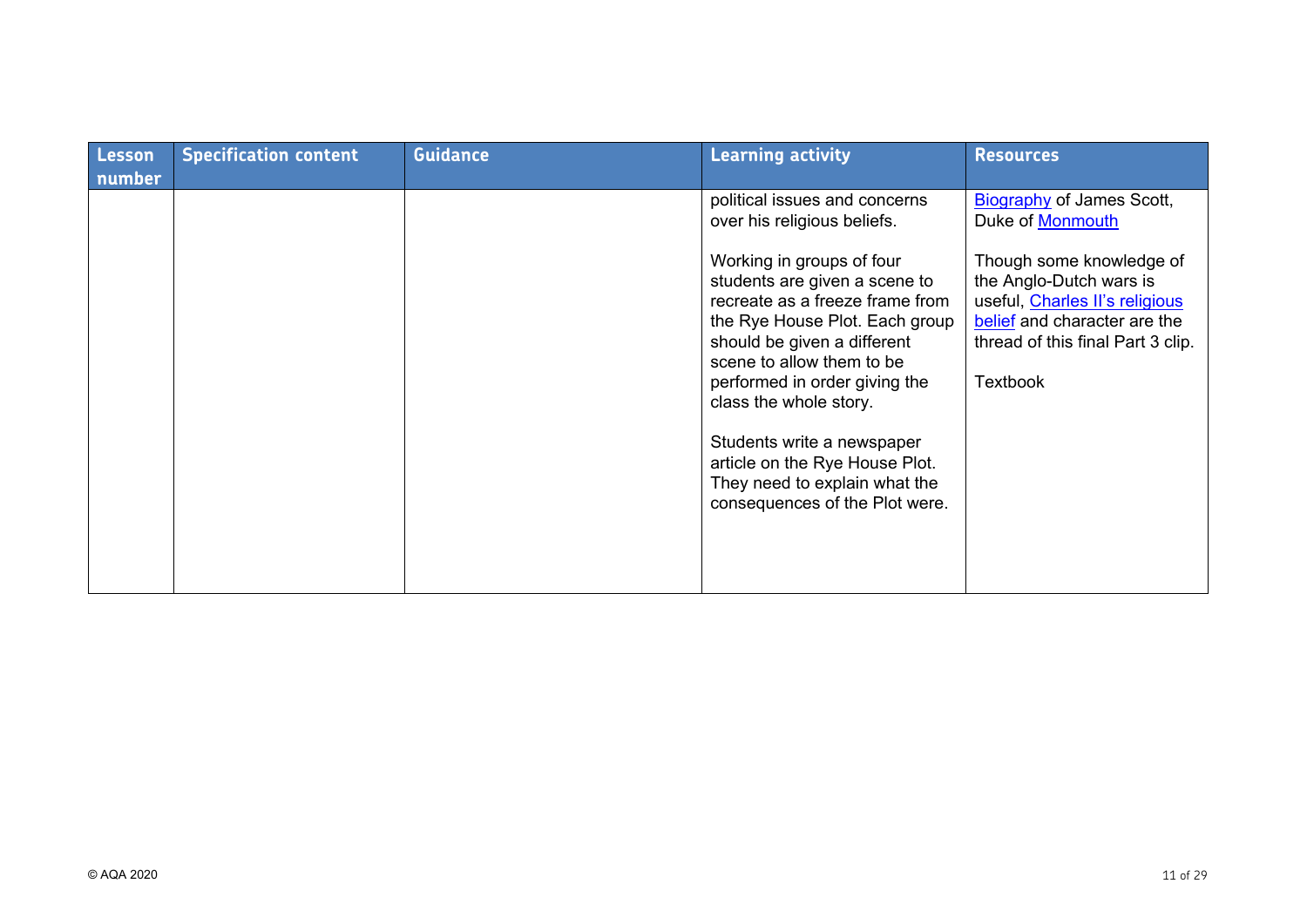| Lesson<br>number | <b>Specification content</b> | <b>Guidance</b> | <b>Learning activity</b>                                                                                                                                                                                                                                                                                                                                                                  | <b>Resources</b>                                                                                                                                                              |
|------------------|------------------------------|-----------------|-------------------------------------------------------------------------------------------------------------------------------------------------------------------------------------------------------------------------------------------------------------------------------------------------------------------------------------------------------------------------------------------|-------------------------------------------------------------------------------------------------------------------------------------------------------------------------------|
|                  |                              |                 | political issues and concerns<br>over his religious beliefs.                                                                                                                                                                                                                                                                                                                              | <b>Biography of James Scott,</b><br>Duke of <b>Monmouth</b>                                                                                                                   |
|                  |                              |                 | Working in groups of four<br>students are given a scene to<br>recreate as a freeze frame from<br>the Rye House Plot. Each group<br>should be given a different<br>scene to allow them to be<br>performed in order giving the<br>class the whole story.<br>Students write a newspaper<br>article on the Rye House Plot.<br>They need to explain what the<br>consequences of the Plot were. | Though some knowledge of<br>the Anglo-Dutch wars is<br>useful, Charles II's religious<br>belief and character are the<br>thread of this final Part 3 clip.<br><b>Textbook</b> |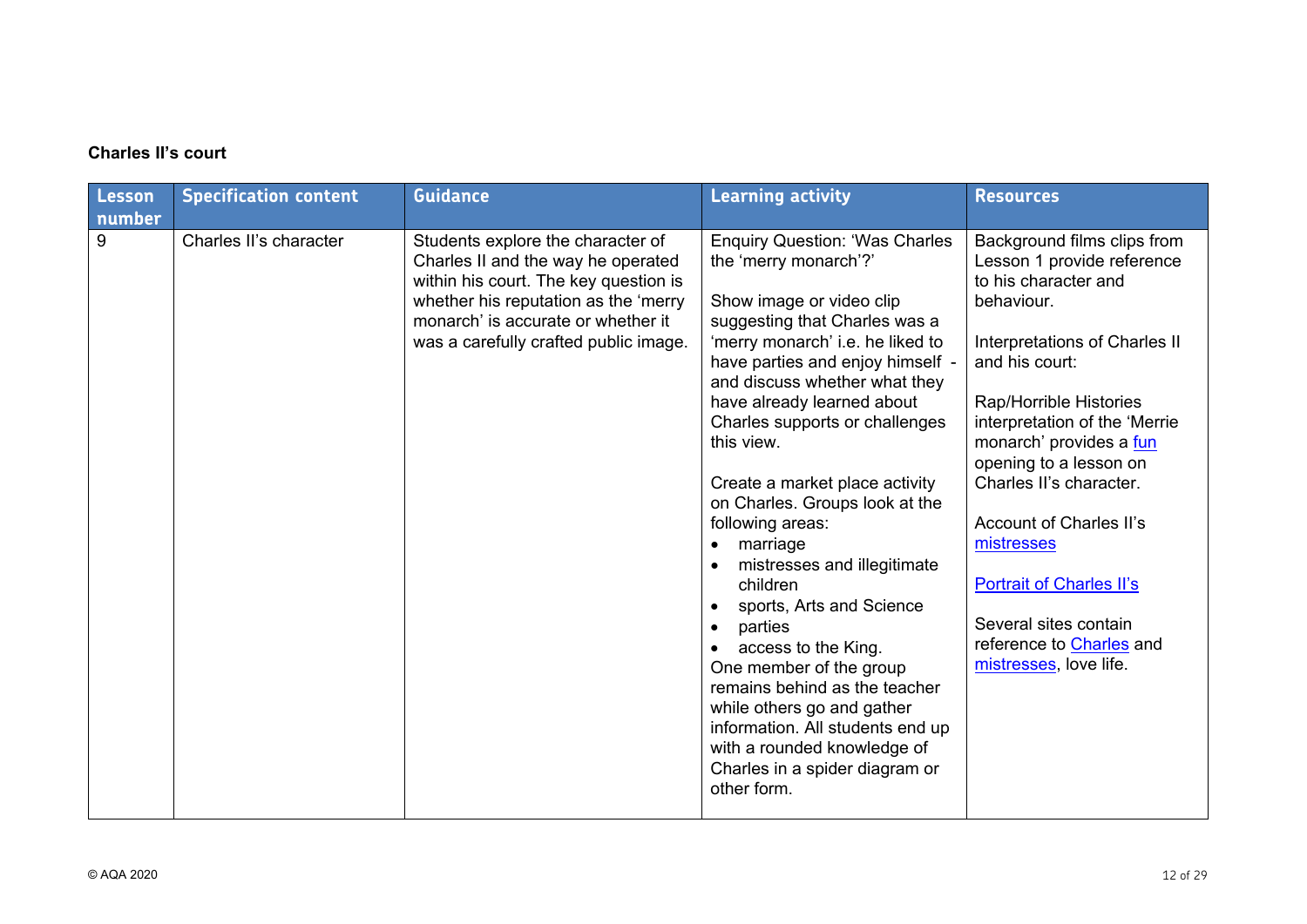# **Charles II's court**

| Lesson<br>number | <b>Specification content</b> | <b>Guidance</b>                                                                                                                                                                                                                         | <b>Learning activity</b>                                                                                                                                                                                                                                                                                                                                                                                                                                                                                                                                                                                                                                                                                                                                                | <b>Resources</b>                                                                                                                                                                                                                                                                                                                                                                                                                                                       |
|------------------|------------------------------|-----------------------------------------------------------------------------------------------------------------------------------------------------------------------------------------------------------------------------------------|-------------------------------------------------------------------------------------------------------------------------------------------------------------------------------------------------------------------------------------------------------------------------------------------------------------------------------------------------------------------------------------------------------------------------------------------------------------------------------------------------------------------------------------------------------------------------------------------------------------------------------------------------------------------------------------------------------------------------------------------------------------------------|------------------------------------------------------------------------------------------------------------------------------------------------------------------------------------------------------------------------------------------------------------------------------------------------------------------------------------------------------------------------------------------------------------------------------------------------------------------------|
| 9                | Charles II's character       | Students explore the character of<br>Charles II and the way he operated<br>within his court. The key question is<br>whether his reputation as the 'merry<br>monarch' is accurate or whether it<br>was a carefully crafted public image. | <b>Enquiry Question: 'Was Charles</b><br>the 'merry monarch'?'<br>Show image or video clip<br>suggesting that Charles was a<br>'merry monarch' i.e. he liked to<br>have parties and enjoy himself -<br>and discuss whether what they<br>have already learned about<br>Charles supports or challenges<br>this view.<br>Create a market place activity<br>on Charles. Groups look at the<br>following areas:<br>marriage<br>$\bullet$<br>mistresses and illegitimate<br>children<br>sports, Arts and Science<br>parties<br>$\bullet$<br>access to the King.<br>One member of the group<br>remains behind as the teacher<br>while others go and gather<br>information. All students end up<br>with a rounded knowledge of<br>Charles in a spider diagram or<br>other form. | Background films clips from<br>Lesson 1 provide reference<br>to his character and<br>behaviour.<br>Interpretations of Charles II<br>and his court:<br>Rap/Horrible Histories<br>interpretation of the 'Merrie<br>monarch' provides a fun<br>opening to a lesson on<br>Charles II's character.<br><b>Account of Charles II's</b><br>mistresses<br><b>Portrait of Charles II's</b><br>Several sites contain<br>reference to <b>Charles</b> and<br>mistresses, love life. |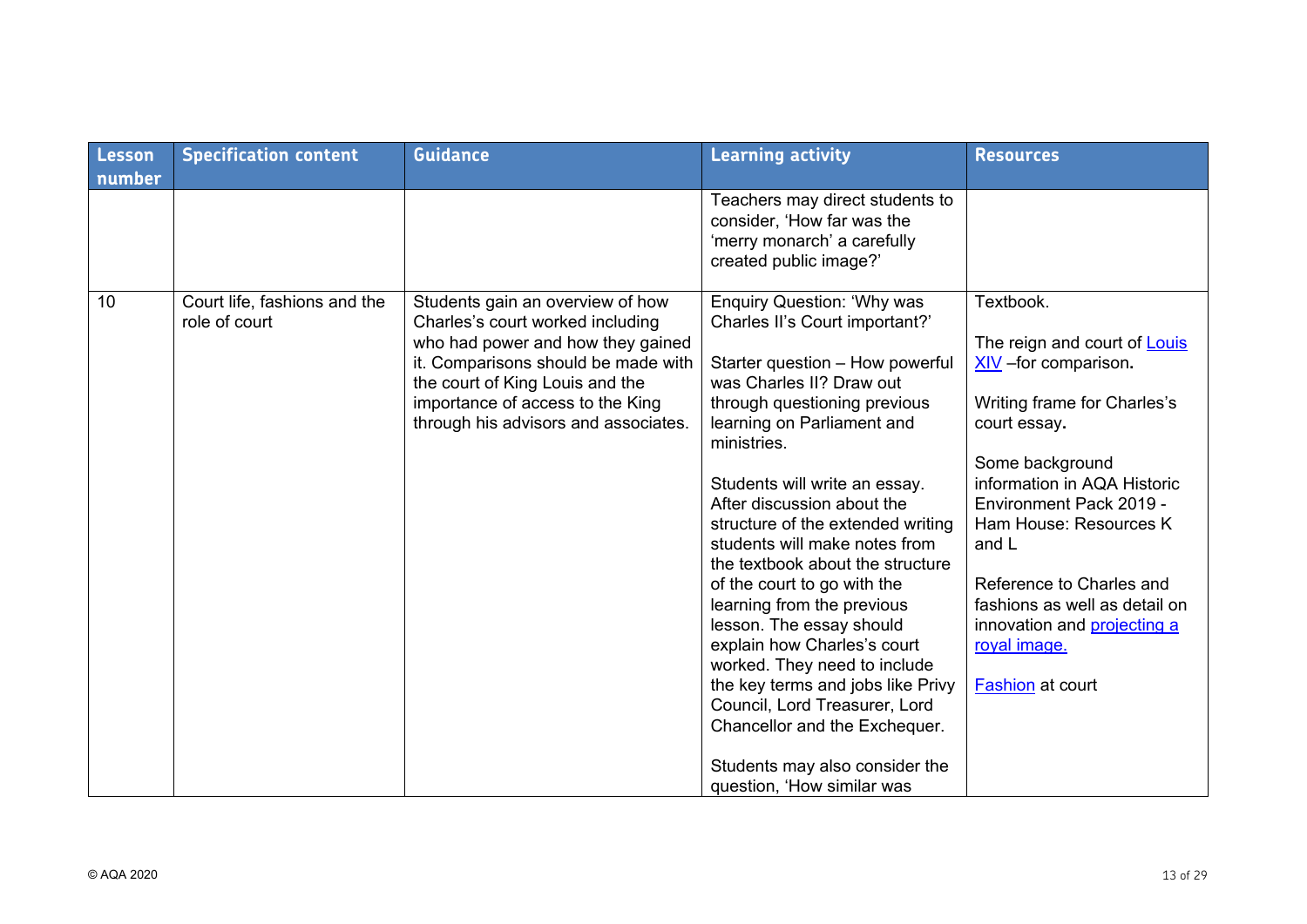| Lesson | <b>Specification content</b>                  | <b>Guidance</b>                                                                                                                                                                                                                                                 | <b>Learning activity</b>                                                                                                                                                                                                                                                                                                                                                                                                                                                                                                                                                                                                                                                                                                | <b>Resources</b>                                                                                                                                                                                                                                                                                                                                                                 |
|--------|-----------------------------------------------|-----------------------------------------------------------------------------------------------------------------------------------------------------------------------------------------------------------------------------------------------------------------|-------------------------------------------------------------------------------------------------------------------------------------------------------------------------------------------------------------------------------------------------------------------------------------------------------------------------------------------------------------------------------------------------------------------------------------------------------------------------------------------------------------------------------------------------------------------------------------------------------------------------------------------------------------------------------------------------------------------------|----------------------------------------------------------------------------------------------------------------------------------------------------------------------------------------------------------------------------------------------------------------------------------------------------------------------------------------------------------------------------------|
| number |                                               |                                                                                                                                                                                                                                                                 | Teachers may direct students to<br>consider, 'How far was the<br>'merry monarch' a carefully<br>created public image?'                                                                                                                                                                                                                                                                                                                                                                                                                                                                                                                                                                                                  |                                                                                                                                                                                                                                                                                                                                                                                  |
| 10     | Court life, fashions and the<br>role of court | Students gain an overview of how<br>Charles's court worked including<br>who had power and how they gained<br>it. Comparisons should be made with<br>the court of King Louis and the<br>importance of access to the King<br>through his advisors and associates. | <b>Enquiry Question: 'Why was</b><br>Charles II's Court important?'<br>Starter question - How powerful<br>was Charles II? Draw out<br>through questioning previous<br>learning on Parliament and<br>ministries.<br>Students will write an essay.<br>After discussion about the<br>structure of the extended writing<br>students will make notes from<br>the textbook about the structure<br>of the court to go with the<br>learning from the previous<br>lesson. The essay should<br>explain how Charles's court<br>worked. They need to include<br>the key terms and jobs like Privy<br>Council, Lord Treasurer, Lord<br>Chancellor and the Exchequer.<br>Students may also consider the<br>question, 'How similar was | Textbook.<br>The reign and court of <b>Louis</b><br>$XIV$ –for comparison.<br>Writing frame for Charles's<br>court essay.<br>Some background<br>information in AQA Historic<br>Environment Pack 2019 -<br>Ham House: Resources K<br>and L<br>Reference to Charles and<br>fashions as well as detail on<br>innovation and projecting a<br>royal image.<br><b>Fashion</b> at court |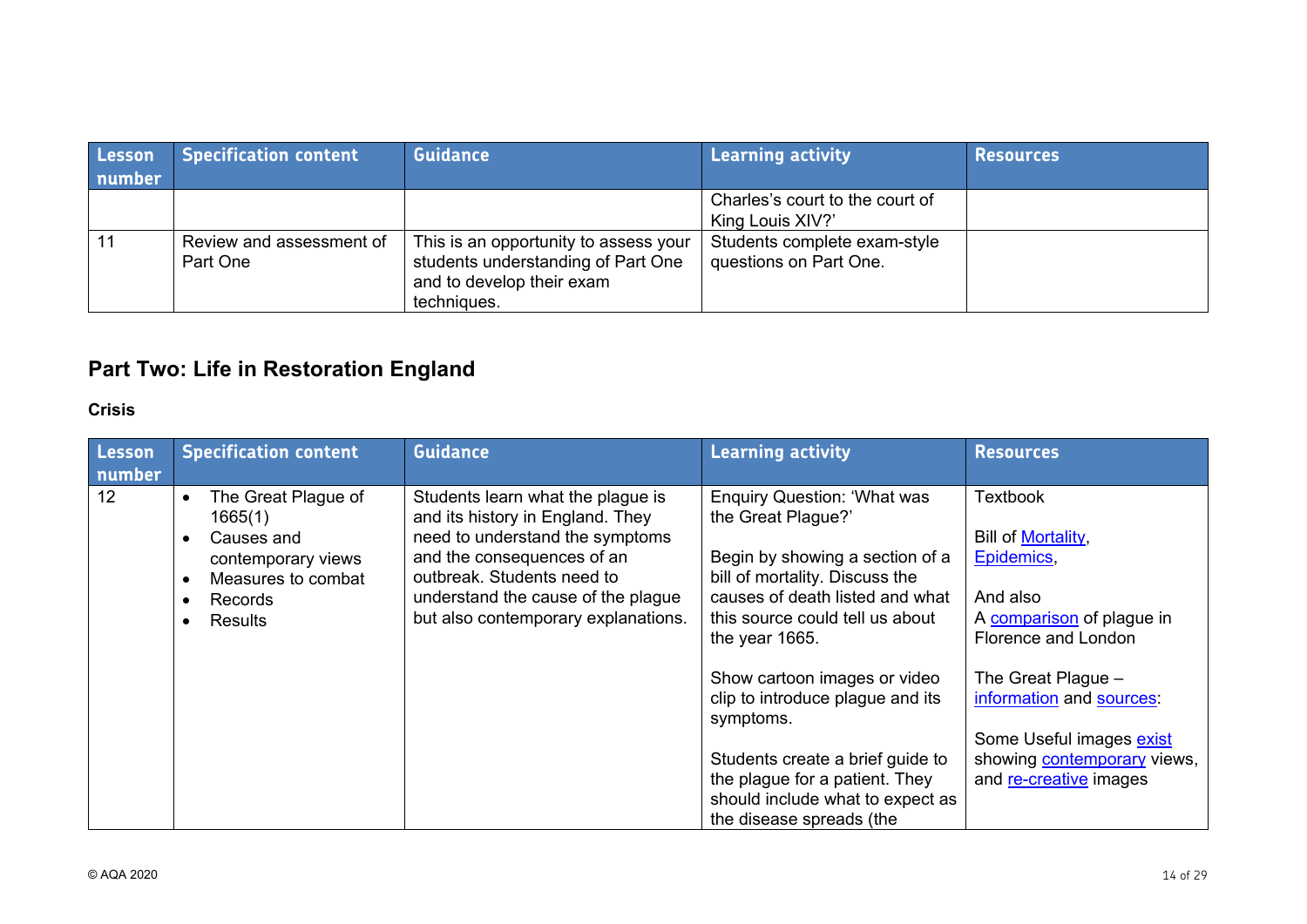| Lesson<br>number | <b>Specification content</b>         | <b>Guidance</b>                                                                                                         | <b>Learning activity</b>                               | <b>Resources</b> |
|------------------|--------------------------------------|-------------------------------------------------------------------------------------------------------------------------|--------------------------------------------------------|------------------|
|                  |                                      |                                                                                                                         | Charles's court to the court of<br>King Louis XIV?'    |                  |
|                  | Review and assessment of<br>Part One | This is an opportunity to assess your<br>students understanding of Part One<br>and to develop their exam<br>techniques. | Students complete exam-style<br>questions on Part One. |                  |

# **Part Two: Life in Restoration England**

# **Crisis**

| Lesson<br>number | <b>Specification content</b>                                                                                                              | <b>Guidance</b>                                                                                                                                                                                                                                   | <b>Learning activity</b>                                                                                                                                                                                              | <b>Resources</b>                                                                                                                             |
|------------------|-------------------------------------------------------------------------------------------------------------------------------------------|---------------------------------------------------------------------------------------------------------------------------------------------------------------------------------------------------------------------------------------------------|-----------------------------------------------------------------------------------------------------------------------------------------------------------------------------------------------------------------------|----------------------------------------------------------------------------------------------------------------------------------------------|
| 12               | The Great Plague of<br>$\bullet$<br>1665(1)<br>Causes and<br>contemporary views<br>Measures to combat<br><b>Records</b><br><b>Results</b> | Students learn what the plague is<br>and its history in England. They<br>need to understand the symptoms<br>and the consequences of an<br>outbreak. Students need to<br>understand the cause of the plague<br>but also contemporary explanations. | <b>Enquiry Question: 'What was</b><br>the Great Plague?'<br>Begin by showing a section of a<br>bill of mortality. Discuss the<br>causes of death listed and what<br>this source could tell us about<br>the year 1665. | Textbook<br>Bill of Mortality,<br>Epidemics,<br>And also<br>A comparison of plague in<br>Florence and London                                 |
|                  |                                                                                                                                           |                                                                                                                                                                                                                                                   | Show cartoon images or video<br>clip to introduce plague and its<br>symptoms.<br>Students create a brief guide to<br>the plague for a patient. They<br>should include what to expect as<br>the disease spreads (the   | The Great Plague $-$<br>information and sources:<br>Some Useful images exist<br>showing <b>contemporary</b> views,<br>and re-creative images |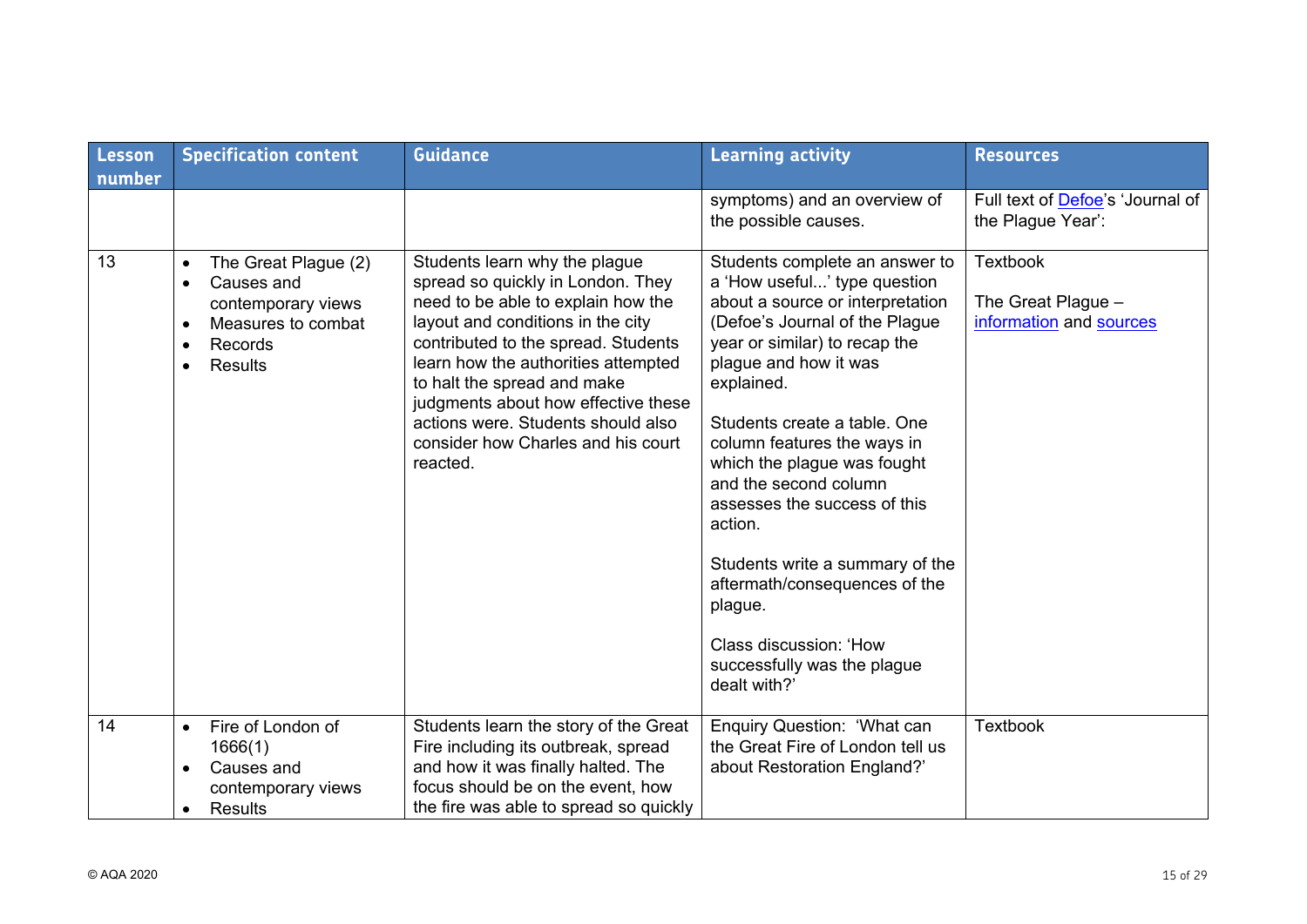| Lesson<br>number | <b>Specification content</b>                                                                                                                                                 | <b>Guidance</b>                                                                                                                                                                                                                                                                                                                                                                           | <b>Learning activity</b>                                                                                                                                                                                                                                                                                                                                                                                                                                                                                                               | <b>Resources</b>                                                 |
|------------------|------------------------------------------------------------------------------------------------------------------------------------------------------------------------------|-------------------------------------------------------------------------------------------------------------------------------------------------------------------------------------------------------------------------------------------------------------------------------------------------------------------------------------------------------------------------------------------|----------------------------------------------------------------------------------------------------------------------------------------------------------------------------------------------------------------------------------------------------------------------------------------------------------------------------------------------------------------------------------------------------------------------------------------------------------------------------------------------------------------------------------------|------------------------------------------------------------------|
|                  |                                                                                                                                                                              |                                                                                                                                                                                                                                                                                                                                                                                           | symptoms) and an overview of<br>the possible causes.                                                                                                                                                                                                                                                                                                                                                                                                                                                                                   | Full text of Defoe's 'Journal of<br>the Plague Year':            |
| 13               | The Great Plague (2)<br>$\bullet$<br>Causes and<br>$\bullet$<br>contemporary views<br>Measures to combat<br>$\bullet$<br>Records<br>$\bullet$<br><b>Results</b><br>$\bullet$ | Students learn why the plague<br>spread so quickly in London. They<br>need to be able to explain how the<br>layout and conditions in the city<br>contributed to the spread. Students<br>learn how the authorities attempted<br>to halt the spread and make<br>judgments about how effective these<br>actions were. Students should also<br>consider how Charles and his court<br>reacted. | Students complete an answer to<br>a 'How useful' type question<br>about a source or interpretation<br>(Defoe's Journal of the Plague<br>year or similar) to recap the<br>plague and how it was<br>explained.<br>Students create a table. One<br>column features the ways in<br>which the plague was fought<br>and the second column<br>assesses the success of this<br>action.<br>Students write a summary of the<br>aftermath/consequences of the<br>plague.<br>Class discussion: 'How<br>successfully was the plague<br>dealt with?' | <b>Textbook</b><br>The Great Plague -<br>information and sources |
| 14               | Fire of London of<br>$\bullet$<br>1666(1)<br>Causes and<br>$\bullet$<br>contemporary views<br><b>Results</b>                                                                 | Students learn the story of the Great<br>Fire including its outbreak, spread<br>and how it was finally halted. The<br>focus should be on the event, how<br>the fire was able to spread so quickly                                                                                                                                                                                         | Enquiry Question: 'What can<br>the Great Fire of London tell us<br>about Restoration England?'                                                                                                                                                                                                                                                                                                                                                                                                                                         | <b>Textbook</b>                                                  |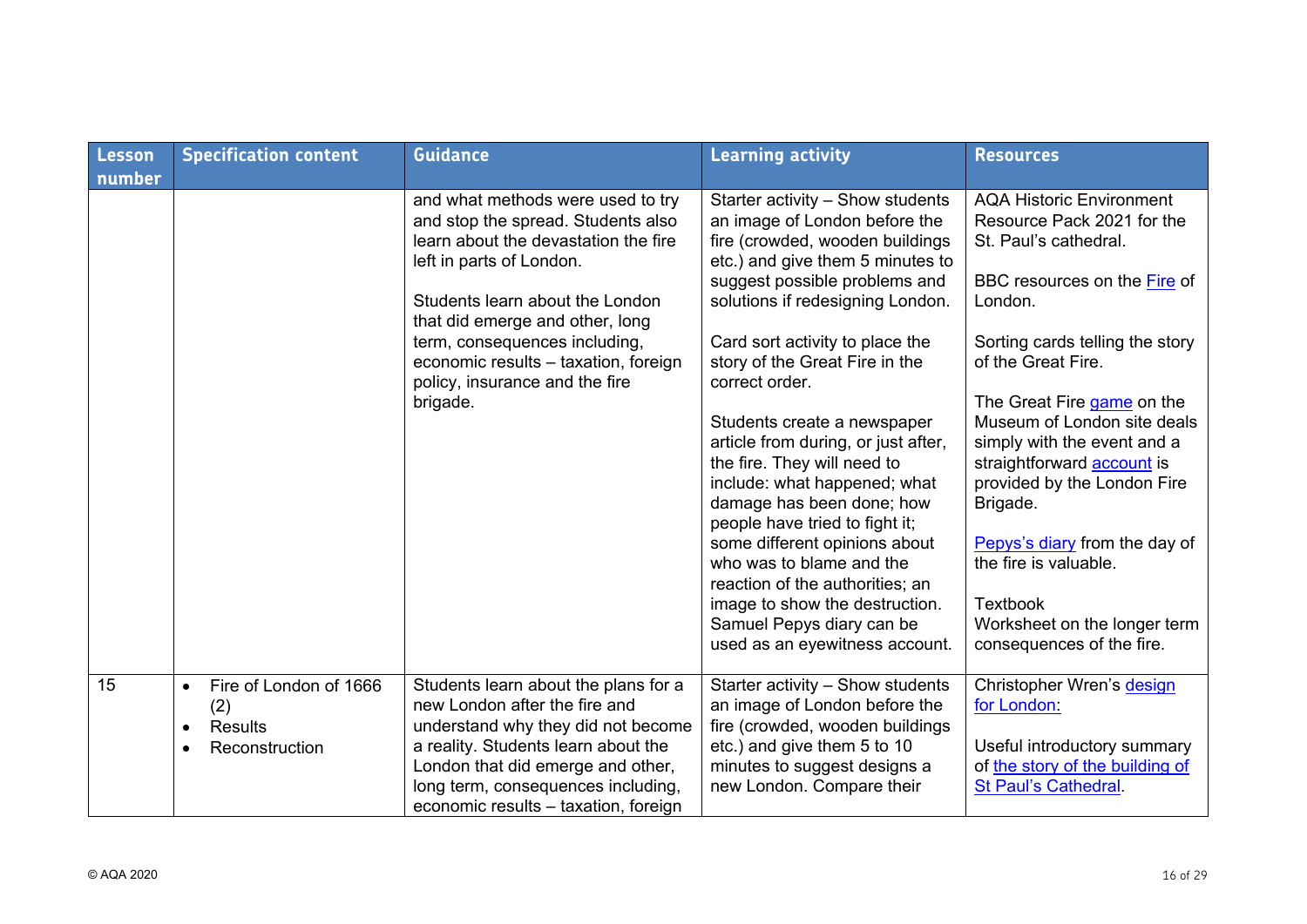| Lesson<br>number | <b>Specification content</b>                                                                             | <b>Guidance</b>                                                                                                                                                                                                                                                       | <b>Learning activity</b>                                                                                                                                                                                                                                                                                                                                                                          | <b>Resources</b>                                                                                                                                                                                                                                                                                                   |
|------------------|----------------------------------------------------------------------------------------------------------|-----------------------------------------------------------------------------------------------------------------------------------------------------------------------------------------------------------------------------------------------------------------------|---------------------------------------------------------------------------------------------------------------------------------------------------------------------------------------------------------------------------------------------------------------------------------------------------------------------------------------------------------------------------------------------------|--------------------------------------------------------------------------------------------------------------------------------------------------------------------------------------------------------------------------------------------------------------------------------------------------------------------|
|                  |                                                                                                          | and what methods were used to try<br>and stop the spread. Students also<br>learn about the devastation the fire<br>left in parts of London.                                                                                                                           | Starter activity - Show students<br>an image of London before the<br>fire (crowded, wooden buildings<br>etc.) and give them 5 minutes to                                                                                                                                                                                                                                                          | <b>AQA Historic Environment</b><br>Resource Pack 2021 for the<br>St. Paul's cathedral.                                                                                                                                                                                                                             |
|                  |                                                                                                          | Students learn about the London<br>that did emerge and other, long                                                                                                                                                                                                    | suggest possible problems and<br>solutions if redesigning London.                                                                                                                                                                                                                                                                                                                                 | BBC resources on the Fire of<br>London.                                                                                                                                                                                                                                                                            |
|                  |                                                                                                          | term, consequences including,<br>economic results - taxation, foreign<br>policy, insurance and the fire                                                                                                                                                               | Card sort activity to place the<br>story of the Great Fire in the<br>correct order.                                                                                                                                                                                                                                                                                                               | Sorting cards telling the story<br>of the Great Fire.                                                                                                                                                                                                                                                              |
|                  |                                                                                                          | brigade.                                                                                                                                                                                                                                                              | Students create a newspaper<br>article from during, or just after,<br>the fire. They will need to<br>include: what happened; what<br>damage has been done; how<br>people have tried to fight it;<br>some different opinions about<br>who was to blame and the<br>reaction of the authorities; an<br>image to show the destruction.<br>Samuel Pepys diary can be<br>used as an eyewitness account. | The Great Fire game on the<br>Museum of London site deals<br>simply with the event and a<br>straightforward <b>account</b> is<br>provided by the London Fire<br>Brigade.<br>Pepys's diary from the day of<br>the fire is valuable.<br><b>Textbook</b><br>Worksheet on the longer term<br>consequences of the fire. |
| 15               | Fire of London of 1666<br>$\bullet$<br>(2)<br><b>Results</b><br>$\bullet$<br>Reconstruction<br>$\bullet$ | Students learn about the plans for a<br>new London after the fire and<br>understand why they did not become<br>a reality. Students learn about the<br>London that did emerge and other,<br>long term, consequences including,<br>economic results - taxation, foreign | Starter activity - Show students<br>an image of London before the<br>fire (crowded, wooden buildings<br>etc.) and give them 5 to 10<br>minutes to suggest designs a<br>new London. Compare their                                                                                                                                                                                                  | Christopher Wren's design<br>for London:<br>Useful introductory summary<br>of the story of the building of<br><b>St Paul's Cathedral</b> .                                                                                                                                                                         |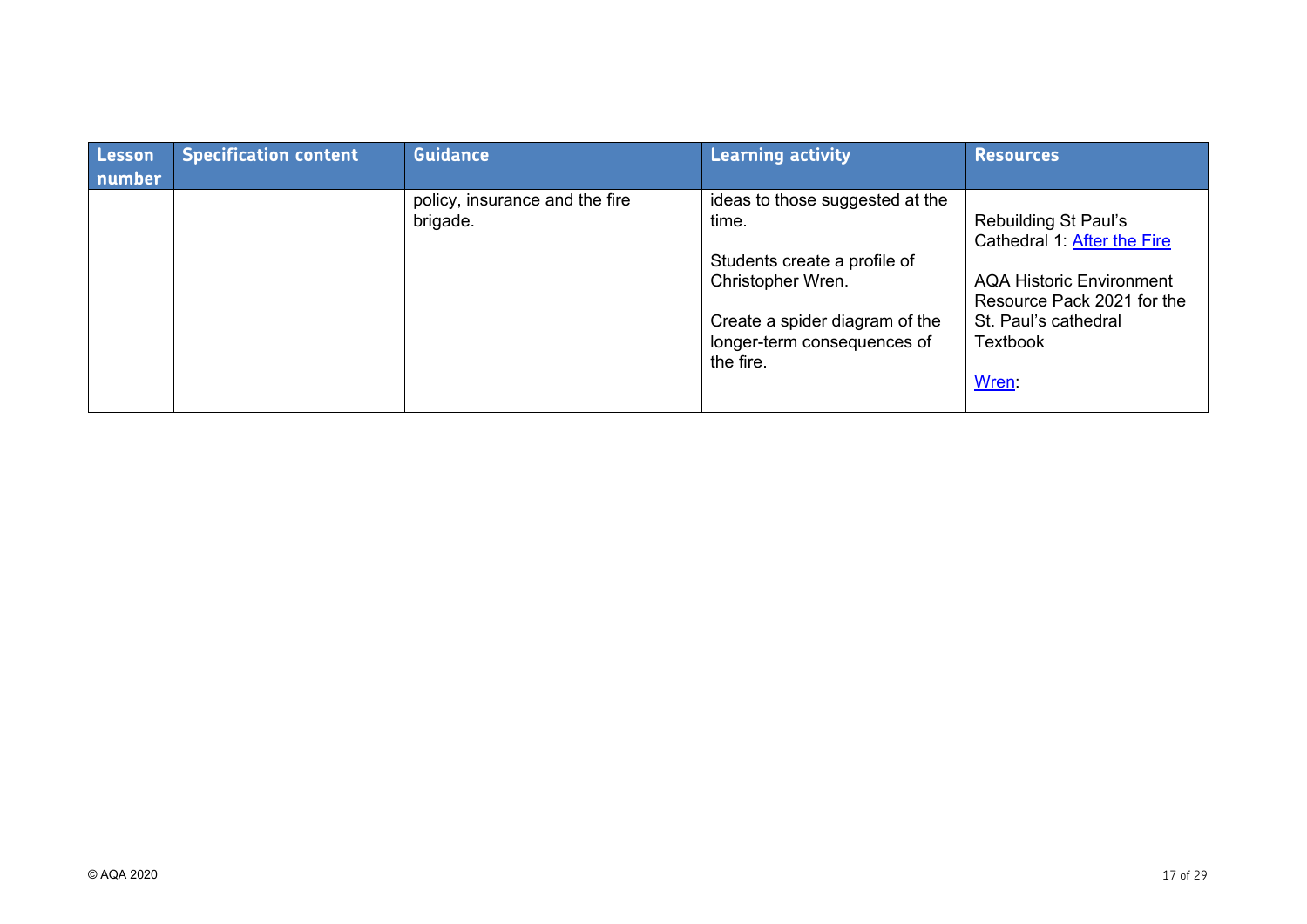| Lesson<br>number | <b>Specification content</b> | <b>Guidance</b>                            | <b>Learning activity</b>                                                                                                                                                    | <b>Resources</b>                                                                                                                                                                      |
|------------------|------------------------------|--------------------------------------------|-----------------------------------------------------------------------------------------------------------------------------------------------------------------------------|---------------------------------------------------------------------------------------------------------------------------------------------------------------------------------------|
|                  |                              | policy, insurance and the fire<br>brigade. | ideas to those suggested at the<br>time.<br>Students create a profile of<br>Christopher Wren.<br>Create a spider diagram of the<br>longer-term consequences of<br>the fire. | <b>Rebuilding St Paul's</b><br>Cathedral 1: After the Fire<br><b>AQA Historic Environment</b><br>Resource Pack 2021 for the<br>St. Paul's cathedral<br><b>Textbook</b><br><b>Wren</b> |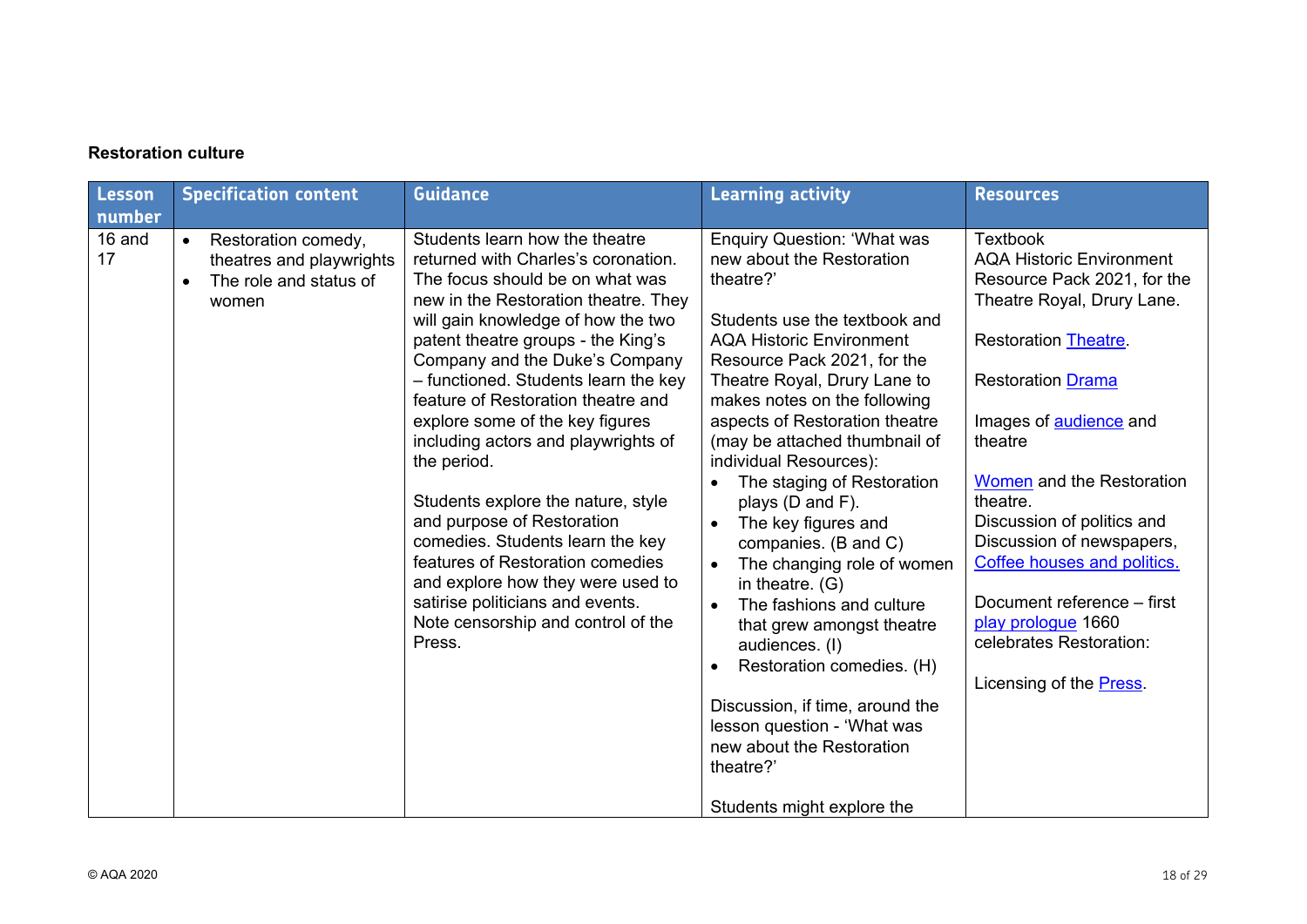## **Restoration culture**

| Lesson                 | <b>Specification content</b>                                                                    | <b>Guidance</b>                                                                                                                                                                                                                                                                                                                                                                                                                                                                                                                                                                                                                                                                                            | <b>Learning activity</b>                                                                                                                                                                                                                                                                                                                                                                                                                                                                                                                                                                                                                                                                                                                                                                             | <b>Resources</b>                                                                                                                                                                                                                                                                                                                                                                                                                                              |
|------------------------|-------------------------------------------------------------------------------------------------|------------------------------------------------------------------------------------------------------------------------------------------------------------------------------------------------------------------------------------------------------------------------------------------------------------------------------------------------------------------------------------------------------------------------------------------------------------------------------------------------------------------------------------------------------------------------------------------------------------------------------------------------------------------------------------------------------------|------------------------------------------------------------------------------------------------------------------------------------------------------------------------------------------------------------------------------------------------------------------------------------------------------------------------------------------------------------------------------------------------------------------------------------------------------------------------------------------------------------------------------------------------------------------------------------------------------------------------------------------------------------------------------------------------------------------------------------------------------------------------------------------------------|---------------------------------------------------------------------------------------------------------------------------------------------------------------------------------------------------------------------------------------------------------------------------------------------------------------------------------------------------------------------------------------------------------------------------------------------------------------|
| number<br>16 and<br>17 | Restoration comedy,<br>$\bullet$<br>theatres and playwrights<br>The role and status of<br>women | Students learn how the theatre<br>returned with Charles's coronation.<br>The focus should be on what was<br>new in the Restoration theatre. They<br>will gain knowledge of how the two<br>patent theatre groups - the King's<br>Company and the Duke's Company<br>- functioned. Students learn the key<br>feature of Restoration theatre and<br>explore some of the key figures<br>including actors and playwrights of<br>the period.<br>Students explore the nature, style<br>and purpose of Restoration<br>comedies. Students learn the key<br>features of Restoration comedies<br>and explore how they were used to<br>satirise politicians and events.<br>Note censorship and control of the<br>Press. | <b>Enquiry Question: 'What was</b><br>new about the Restoration<br>theatre?'<br>Students use the textbook and<br><b>AQA Historic Environment</b><br>Resource Pack 2021, for the<br>Theatre Royal, Drury Lane to<br>makes notes on the following<br>aspects of Restoration theatre<br>(may be attached thumbnail of<br>individual Resources):<br>The staging of Restoration<br>$\bullet$<br>plays (D and F).<br>The key figures and<br>$\bullet$<br>companies. (B and C)<br>The changing role of women<br>$\bullet$<br>in theatre. (G)<br>The fashions and culture<br>$\bullet$<br>that grew amongst theatre<br>audiences. (I)<br>Restoration comedies. (H)<br>Discussion, if time, around the<br>lesson question - 'What was<br>new about the Restoration<br>theatre?'<br>Students might explore the | <b>Textbook</b><br><b>AQA Historic Environment</b><br>Resource Pack 2021, for the<br>Theatre Royal, Drury Lane.<br>Restoration Theatre.<br><b>Restoration Drama</b><br>Images of audience and<br>theatre<br>Women and the Restoration<br>theatre.<br>Discussion of politics and<br>Discussion of newspapers,<br>Coffee houses and politics.<br>Document reference - first<br>play prologue 1660<br>celebrates Restoration:<br>Licensing of the <b>Press</b> . |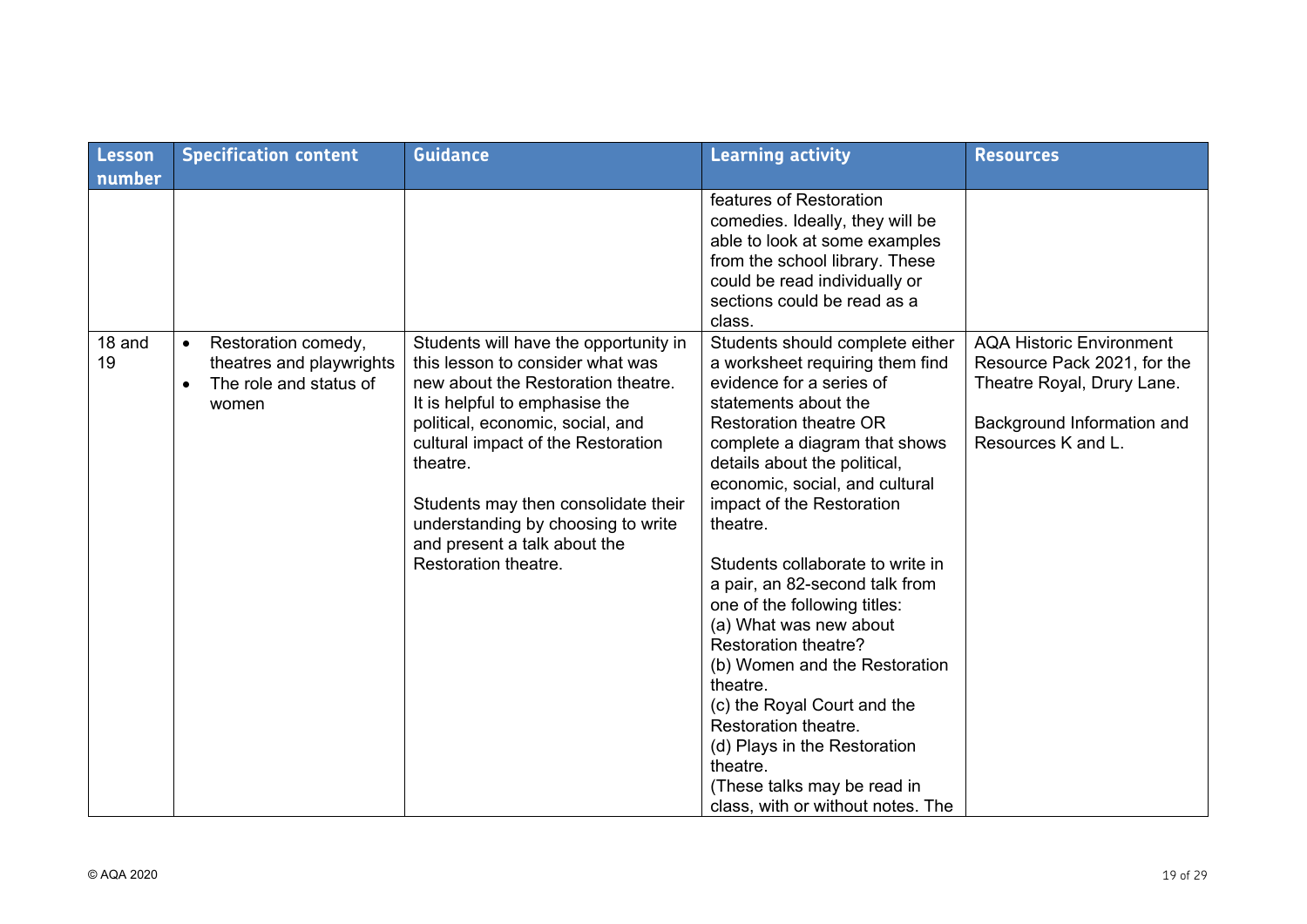| <b>Lesson</b> | <b>Specification content</b>                                                                                 | <b>Guidance</b>                                                                                                                                                                                                                                                                                                                                                              | <b>Learning activity</b>                                                                                                                                                                                                                                                                                                                                                                                                                                                                                                                                                                                                                                                        | <b>Resources</b>                                                                                                                                 |
|---------------|--------------------------------------------------------------------------------------------------------------|------------------------------------------------------------------------------------------------------------------------------------------------------------------------------------------------------------------------------------------------------------------------------------------------------------------------------------------------------------------------------|---------------------------------------------------------------------------------------------------------------------------------------------------------------------------------------------------------------------------------------------------------------------------------------------------------------------------------------------------------------------------------------------------------------------------------------------------------------------------------------------------------------------------------------------------------------------------------------------------------------------------------------------------------------------------------|--------------------------------------------------------------------------------------------------------------------------------------------------|
| number        |                                                                                                              |                                                                                                                                                                                                                                                                                                                                                                              | features of Restoration<br>comedies. Ideally, they will be<br>able to look at some examples<br>from the school library. These<br>could be read individually or<br>sections could be read as a<br>class.                                                                                                                                                                                                                                                                                                                                                                                                                                                                         |                                                                                                                                                  |
| 18 and<br>19  | Restoration comedy,<br>$\bullet$<br>theatres and playwrights<br>The role and status of<br>$\bullet$<br>women | Students will have the opportunity in<br>this lesson to consider what was<br>new about the Restoration theatre.<br>It is helpful to emphasise the<br>political, economic, social, and<br>cultural impact of the Restoration<br>theatre.<br>Students may then consolidate their<br>understanding by choosing to write<br>and present a talk about the<br>Restoration theatre. | Students should complete either<br>a worksheet requiring them find<br>evidence for a series of<br>statements about the<br><b>Restoration theatre OR</b><br>complete a diagram that shows<br>details about the political,<br>economic, social, and cultural<br>impact of the Restoration<br>theatre.<br>Students collaborate to write in<br>a pair, an 82-second talk from<br>one of the following titles:<br>(a) What was new about<br>Restoration theatre?<br>(b) Women and the Restoration<br>theatre.<br>(c) the Royal Court and the<br>Restoration theatre.<br>(d) Plays in the Restoration<br>theatre.<br>(These talks may be read in<br>class, with or without notes. The | <b>AQA Historic Environment</b><br>Resource Pack 2021, for the<br>Theatre Royal, Drury Lane.<br>Background Information and<br>Resources K and L. |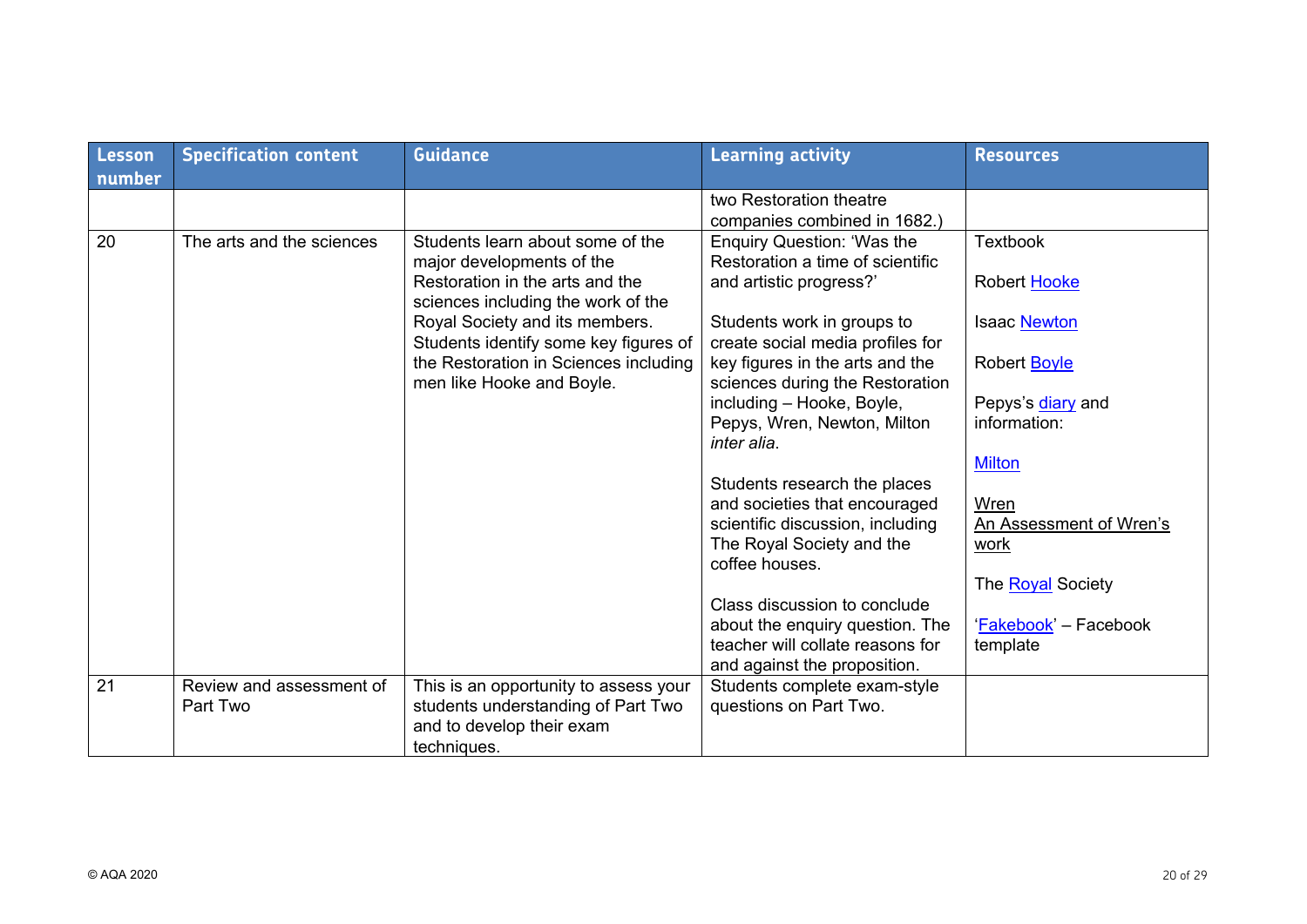| Lesson<br>number | <b>Specification content</b> | <b>Guidance</b>                                                         | <b>Learning activity</b>                                           | <b>Resources</b>         |
|------------------|------------------------------|-------------------------------------------------------------------------|--------------------------------------------------------------------|--------------------------|
|                  |                              |                                                                         | two Restoration theatre<br>companies combined in 1682.)            |                          |
| 20               | The arts and the sciences    | Students learn about some of the<br>major developments of the           | Enquiry Question: 'Was the<br>Restoration a time of scientific     | <b>Textbook</b>          |
|                  |                              | Restoration in the arts and the<br>sciences including the work of the   | and artistic progress?'                                            | Robert Hooke             |
|                  |                              | Royal Society and its members.<br>Students identify some key figures of | Students work in groups to<br>create social media profiles for     | Isaac Newton             |
|                  |                              | the Restoration in Sciences including<br>men like Hooke and Boyle.      | key figures in the arts and the<br>sciences during the Restoration | Robert <b>Boyle</b>      |
|                  |                              |                                                                         | including - Hooke, Boyle,                                          | Pepys's diary and        |
|                  |                              |                                                                         | Pepys, Wren, Newton, Milton<br>inter alia.                         | information:             |
|                  |                              |                                                                         |                                                                    | <b>Milton</b>            |
|                  |                              |                                                                         | Students research the places<br>and societies that encouraged      | Wren                     |
|                  |                              |                                                                         | scientific discussion, including                                   | An Assessment of Wren's  |
|                  |                              |                                                                         | The Royal Society and the<br>coffee houses.                        | work                     |
|                  |                              |                                                                         |                                                                    | The <b>Royal</b> Society |
|                  |                              |                                                                         | Class discussion to conclude                                       |                          |
|                  |                              |                                                                         | about the enquiry question. The                                    | 'Fakebook' - Facebook    |
|                  |                              |                                                                         | teacher will collate reasons for<br>and against the proposition.   | template                 |
| 21               | Review and assessment of     | This is an opportunity to assess your                                   | Students complete exam-style                                       |                          |
|                  | Part Two                     | students understanding of Part Two                                      | questions on Part Two.                                             |                          |
|                  |                              | and to develop their exam<br>techniques.                                |                                                                    |                          |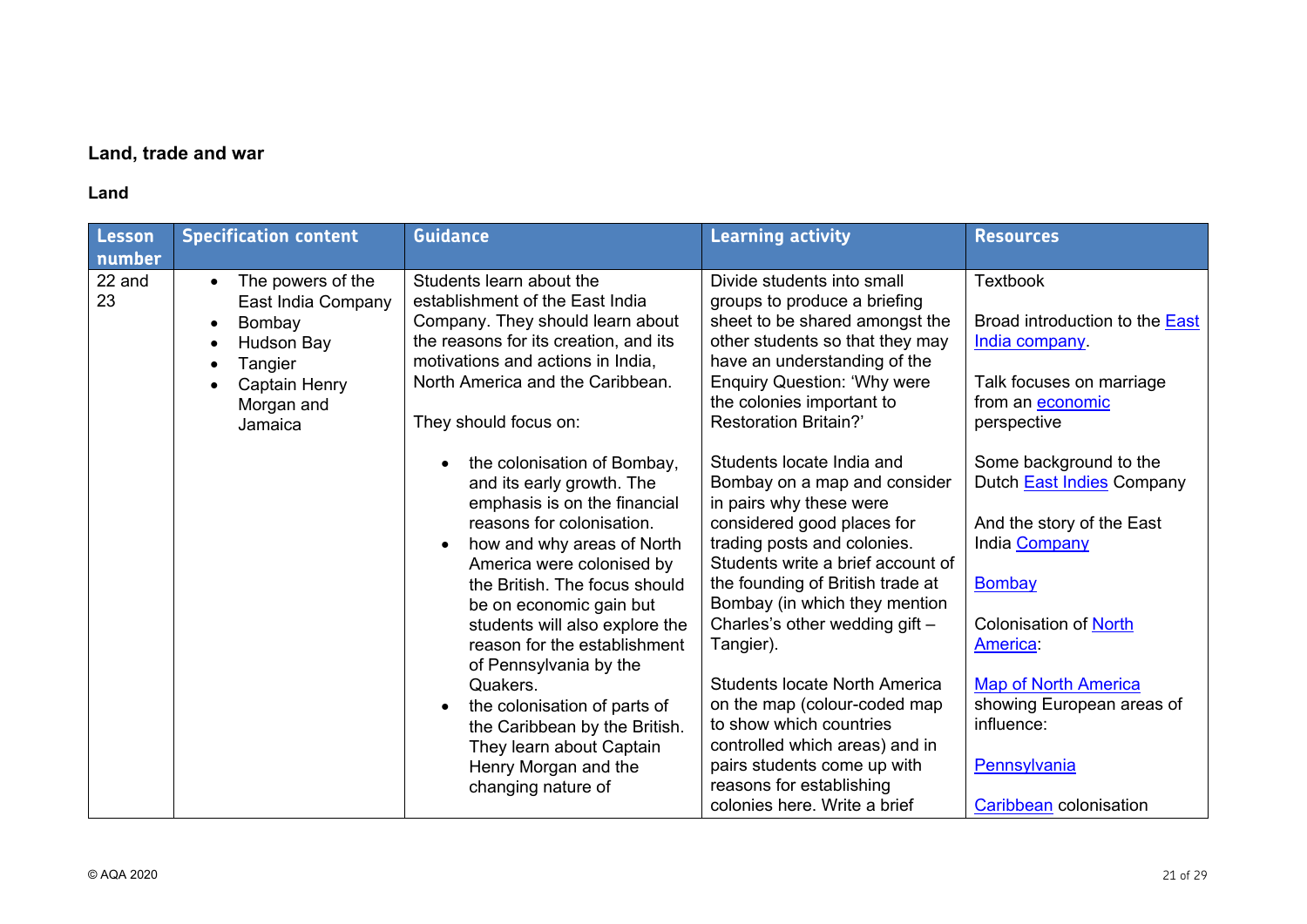# **Land, trade and war**

# **Land**

| Lesson<br>number | <b>Specification content</b>                                                                                                                                                                 | <b>Guidance</b>                                                                                                                                                                                                                                                                                                                                                                                                                                                                                                                                                                                                                                                                                                                               | <b>Learning activity</b>                                                                                                                                                                                                                                                                                                                                                                                                                                                                                                                                                                                                                                                                                                                                                         | <b>Resources</b>                                                                                                                                                                                                                                                                                                                                                                                      |
|------------------|----------------------------------------------------------------------------------------------------------------------------------------------------------------------------------------------|-----------------------------------------------------------------------------------------------------------------------------------------------------------------------------------------------------------------------------------------------------------------------------------------------------------------------------------------------------------------------------------------------------------------------------------------------------------------------------------------------------------------------------------------------------------------------------------------------------------------------------------------------------------------------------------------------------------------------------------------------|----------------------------------------------------------------------------------------------------------------------------------------------------------------------------------------------------------------------------------------------------------------------------------------------------------------------------------------------------------------------------------------------------------------------------------------------------------------------------------------------------------------------------------------------------------------------------------------------------------------------------------------------------------------------------------------------------------------------------------------------------------------------------------|-------------------------------------------------------------------------------------------------------------------------------------------------------------------------------------------------------------------------------------------------------------------------------------------------------------------------------------------------------------------------------------------------------|
| 22 and<br>23     | The powers of the<br>$\bullet$<br>East India Company<br>Bombay<br>$\bullet$<br><b>Hudson Bay</b><br>$\bullet$<br>Tangier<br>$\bullet$<br>Captain Henry<br>$\bullet$<br>Morgan and<br>Jamaica | Students learn about the<br>establishment of the East India<br>Company. They should learn about<br>the reasons for its creation, and its<br>motivations and actions in India,<br>North America and the Caribbean.<br>They should focus on:<br>the colonisation of Bombay,<br>and its early growth. The<br>emphasis is on the financial<br>reasons for colonisation.<br>how and why areas of North<br>America were colonised by<br>the British. The focus should<br>be on economic gain but<br>students will also explore the<br>reason for the establishment<br>of Pennsylvania by the<br>Quakers.<br>the colonisation of parts of<br>the Caribbean by the British.<br>They learn about Captain<br>Henry Morgan and the<br>changing nature of | Divide students into small<br>groups to produce a briefing<br>sheet to be shared amongst the<br>other students so that they may<br>have an understanding of the<br><b>Enquiry Question: 'Why were</b><br>the colonies important to<br><b>Restoration Britain?'</b><br>Students locate India and<br>Bombay on a map and consider<br>in pairs why these were<br>considered good places for<br>trading posts and colonies.<br>Students write a brief account of<br>the founding of British trade at<br>Bombay (in which they mention<br>Charles's other wedding gift -<br>Tangier).<br><b>Students locate North America</b><br>on the map (colour-coded map<br>to show which countries<br>controlled which areas) and in<br>pairs students come up with<br>reasons for establishing | <b>Textbook</b><br>Broad introduction to the <b>East</b><br>India company.<br>Talk focuses on marriage<br>from an economic<br>perspective<br>Some background to the<br>Dutch <b>East Indies</b> Company<br>And the story of the East<br>India Company<br>Bombay<br><b>Colonisation of North</b><br>America:<br><b>Map of North America</b><br>showing European areas of<br>influence:<br>Pennsylvania |
|                  |                                                                                                                                                                                              |                                                                                                                                                                                                                                                                                                                                                                                                                                                                                                                                                                                                                                                                                                                                               | colonies here. Write a brief                                                                                                                                                                                                                                                                                                                                                                                                                                                                                                                                                                                                                                                                                                                                                     | Caribbean colonisation                                                                                                                                                                                                                                                                                                                                                                                |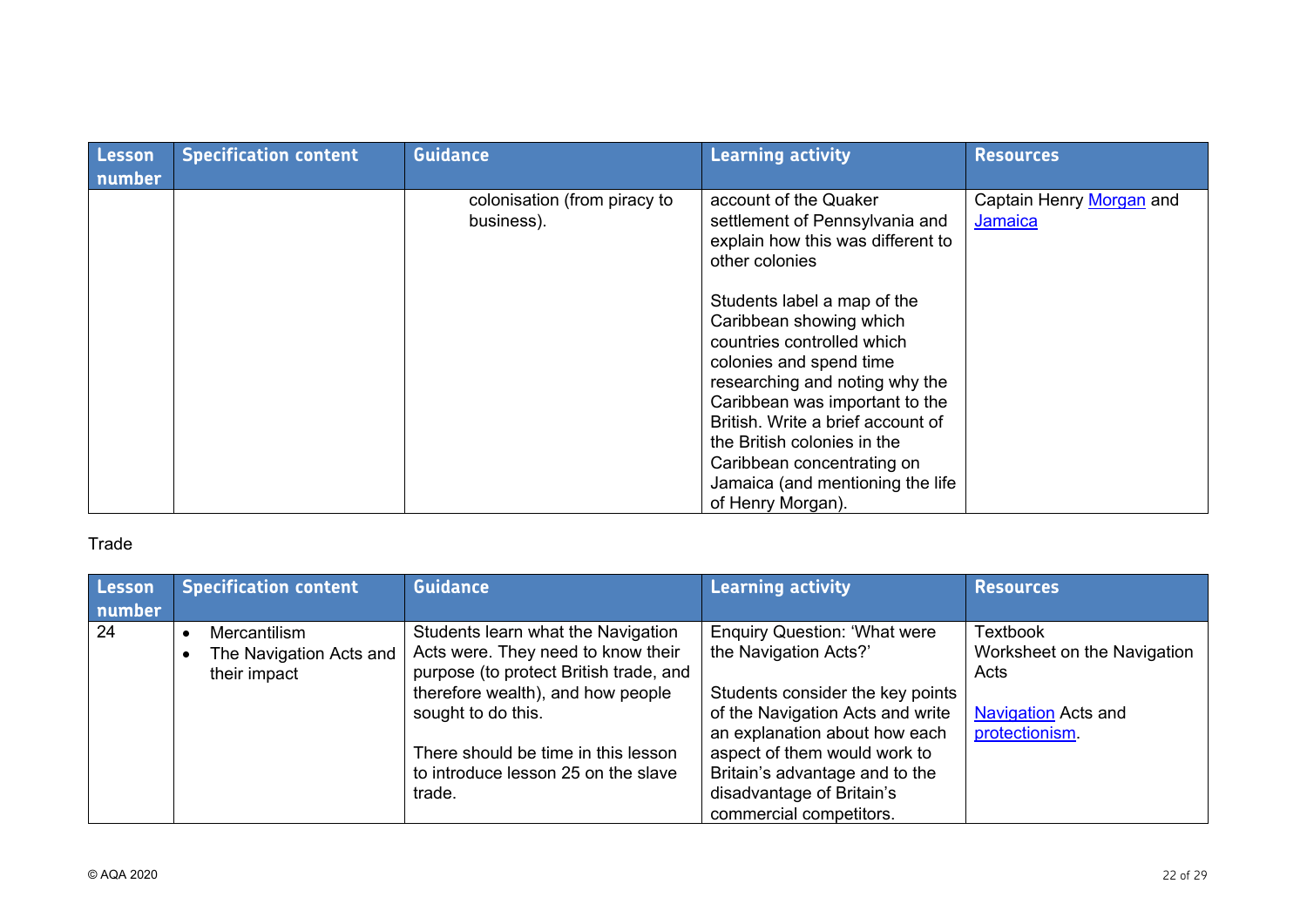| Lesson<br>number | <b>Specification content</b> | <b>Guidance</b>                            | <b>Learning activity</b>                                                                                                                                                                                                                                                                                                                                                                                                                                         | <b>Resources</b>                    |
|------------------|------------------------------|--------------------------------------------|------------------------------------------------------------------------------------------------------------------------------------------------------------------------------------------------------------------------------------------------------------------------------------------------------------------------------------------------------------------------------------------------------------------------------------------------------------------|-------------------------------------|
|                  |                              | colonisation (from piracy to<br>business). | account of the Quaker<br>settlement of Pennsylvania and<br>explain how this was different to<br>other colonies<br>Students label a map of the<br>Caribbean showing which<br>countries controlled which<br>colonies and spend time<br>researching and noting why the<br>Caribbean was important to the<br>British. Write a brief account of<br>the British colonies in the<br>Caribbean concentrating on<br>Jamaica (and mentioning the life<br>of Henry Morgan). | Captain Henry Morgan and<br>Jamaica |

# Trade

| Lesson<br>number | <b>Specification content</b>                            | <b>Guidance</b>                                                                                                                                                                                                                                             | <b>Learning activity</b>                                                                                                                                                                                                                | <b>Resources</b>                                                                                       |
|------------------|---------------------------------------------------------|-------------------------------------------------------------------------------------------------------------------------------------------------------------------------------------------------------------------------------------------------------------|-----------------------------------------------------------------------------------------------------------------------------------------------------------------------------------------------------------------------------------------|--------------------------------------------------------------------------------------------------------|
| 24               | Mercantilism<br>The Navigation Acts and<br>their impact | Students learn what the Navigation<br>Acts were. They need to know their<br>purpose (to protect British trade, and<br>therefore wealth), and how people<br>sought to do this.<br>There should be time in this lesson<br>to introduce lesson 25 on the slave | <b>Enquiry Question: 'What were</b><br>the Navigation Acts?'<br>Students consider the key points<br>of the Navigation Acts and write<br>an explanation about how each<br>aspect of them would work to<br>Britain's advantage and to the | <b>Textbook</b><br>Worksheet on the Navigation<br>Acts<br><b>Navigation</b> Acts and<br>protectionism. |
|                  |                                                         | trade.                                                                                                                                                                                                                                                      | disadvantage of Britain's<br>commercial competitors.                                                                                                                                                                                    |                                                                                                        |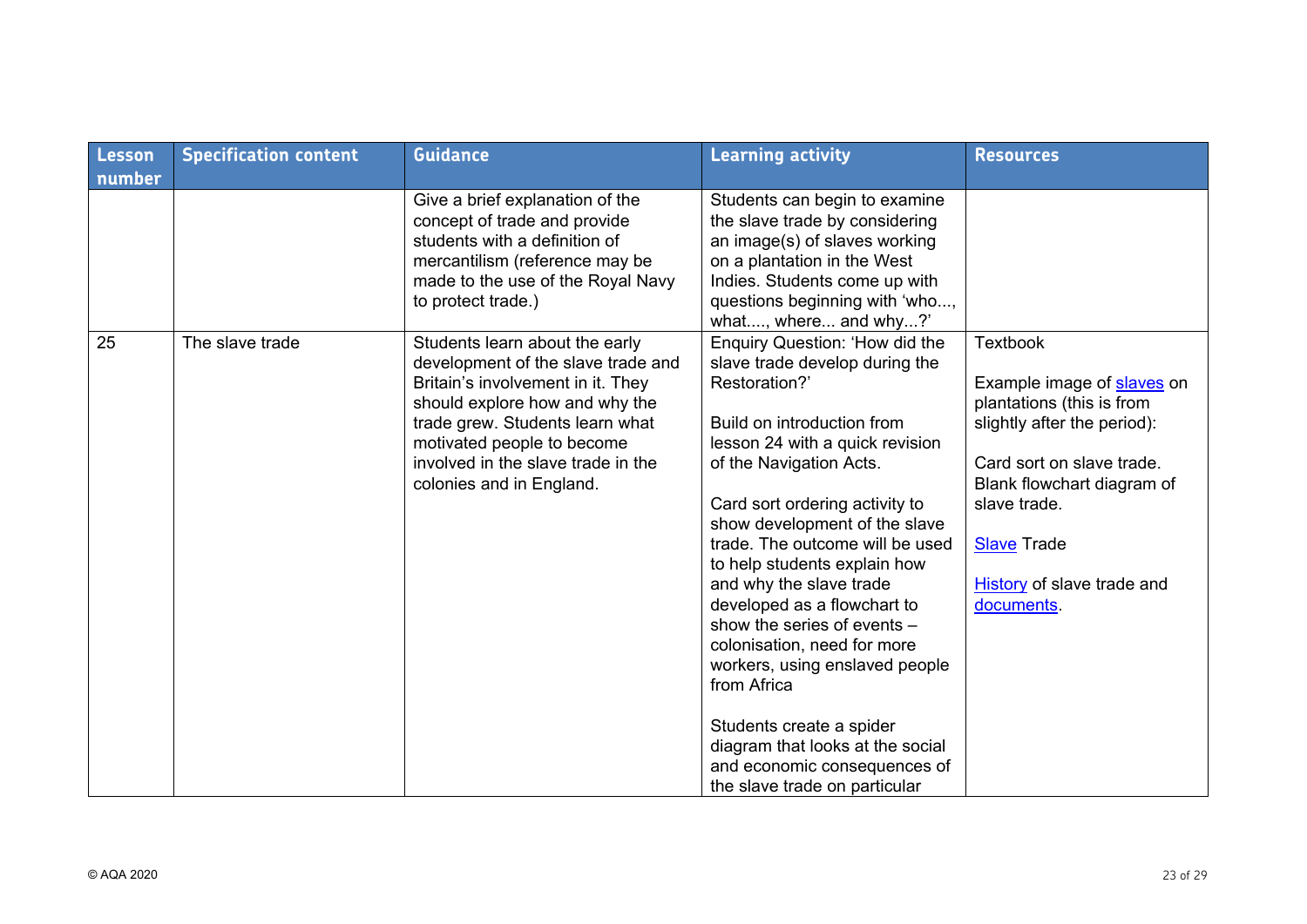| Lesson | <b>Specification content</b> | <b>Guidance</b>                                                                                                                                                                                                                                                                | <b>Learning activity</b>                                                                                                                                                                                                                                                                                                                                                                                                                                                                                                                                                                                                      | <b>Resources</b>                                                                                                                                                                                                                                              |
|--------|------------------------------|--------------------------------------------------------------------------------------------------------------------------------------------------------------------------------------------------------------------------------------------------------------------------------|-------------------------------------------------------------------------------------------------------------------------------------------------------------------------------------------------------------------------------------------------------------------------------------------------------------------------------------------------------------------------------------------------------------------------------------------------------------------------------------------------------------------------------------------------------------------------------------------------------------------------------|---------------------------------------------------------------------------------------------------------------------------------------------------------------------------------------------------------------------------------------------------------------|
| number |                              |                                                                                                                                                                                                                                                                                |                                                                                                                                                                                                                                                                                                                                                                                                                                                                                                                                                                                                                               |                                                                                                                                                                                                                                                               |
|        |                              | Give a brief explanation of the<br>concept of trade and provide<br>students with a definition of<br>mercantilism (reference may be<br>made to the use of the Royal Navy<br>to protect trade.)                                                                                  | Students can begin to examine<br>the slave trade by considering<br>an image(s) of slaves working<br>on a plantation in the West<br>Indies. Students come up with<br>questions beginning with 'who,<br>what, where and why?'                                                                                                                                                                                                                                                                                                                                                                                                   |                                                                                                                                                                                                                                                               |
| 25     | The slave trade              | Students learn about the early<br>development of the slave trade and<br>Britain's involvement in it. They<br>should explore how and why the<br>trade grew. Students learn what<br>motivated people to become<br>involved in the slave trade in the<br>colonies and in England. | Enquiry Question: 'How did the<br>slave trade develop during the<br>Restoration?'<br>Build on introduction from<br>lesson 24 with a quick revision<br>of the Navigation Acts.<br>Card sort ordering activity to<br>show development of the slave<br>trade. The outcome will be used<br>to help students explain how<br>and why the slave trade<br>developed as a flowchart to<br>show the series of events -<br>colonisation, need for more<br>workers, using enslaved people<br>from Africa<br>Students create a spider<br>diagram that looks at the social<br>and economic consequences of<br>the slave trade on particular | <b>Textbook</b><br>Example image of slaves on<br>plantations (this is from<br>slightly after the period):<br>Card sort on slave trade.<br>Blank flowchart diagram of<br>slave trade.<br><b>Slave Trade</b><br><b>History</b> of slave trade and<br>documents. |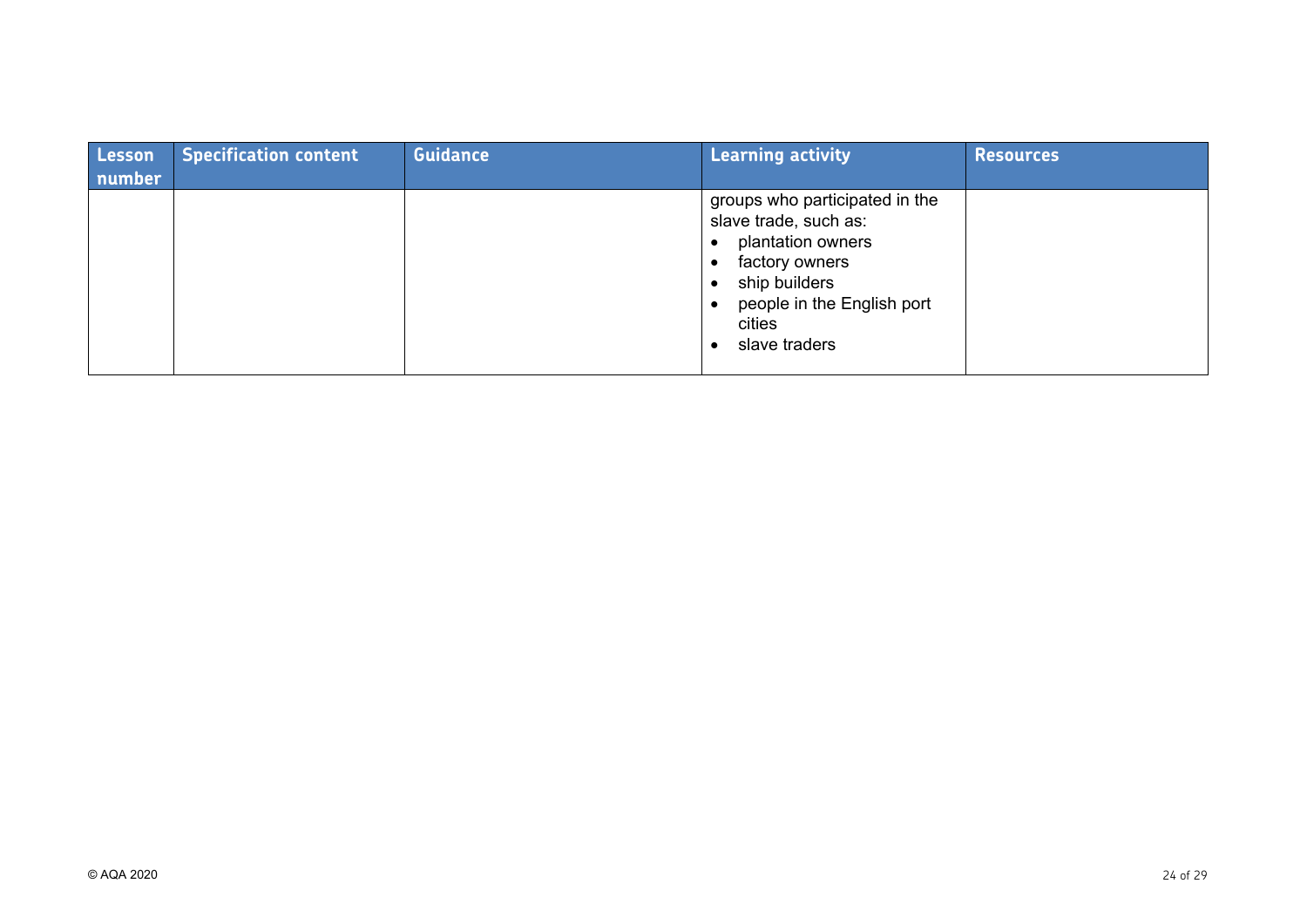| <b>Lesson</b><br>number | <b>Specification content</b> | <b>Guidance</b> | <b>Learning activity</b>                                                                                                                                                 | <b>Resources</b> |
|-------------------------|------------------------------|-----------------|--------------------------------------------------------------------------------------------------------------------------------------------------------------------------|------------------|
|                         |                              |                 | groups who participated in the<br>slave trade, such as:<br>plantation owners<br>factory owners<br>ship builders<br>people in the English port<br>cities<br>slave traders |                  |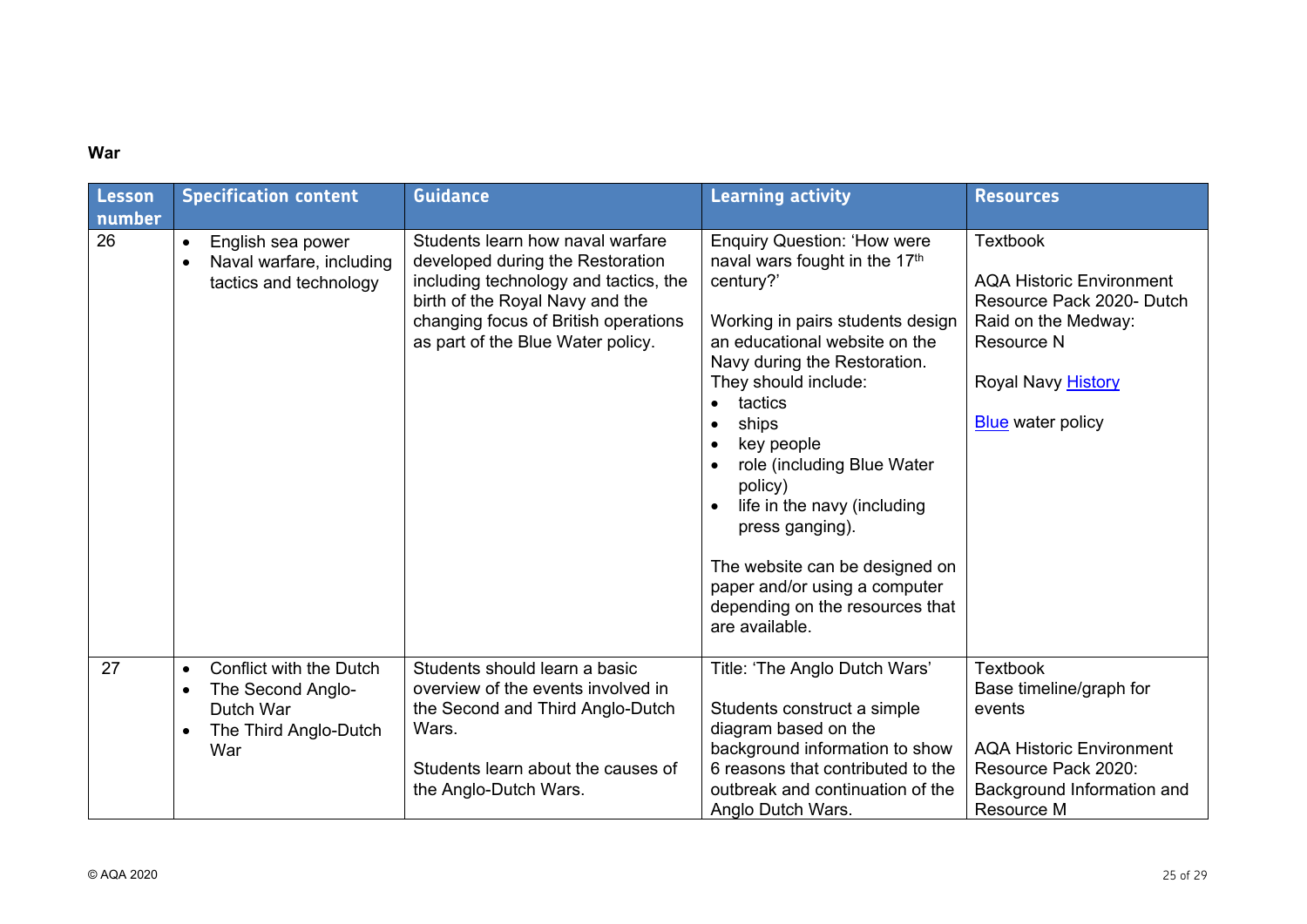# **War**

| <b>Lesson</b><br>number | <b>Specification content</b>                                                                                                     | <b>Guidance</b>                                                                                                                                                                                                               | <b>Learning activity</b>                                                                                                                                                                                                                                                                                                                                                                                                                                                        | <b>Resources</b>                                                                                                                                                              |
|-------------------------|----------------------------------------------------------------------------------------------------------------------------------|-------------------------------------------------------------------------------------------------------------------------------------------------------------------------------------------------------------------------------|---------------------------------------------------------------------------------------------------------------------------------------------------------------------------------------------------------------------------------------------------------------------------------------------------------------------------------------------------------------------------------------------------------------------------------------------------------------------------------|-------------------------------------------------------------------------------------------------------------------------------------------------------------------------------|
| 26                      | English sea power<br>$\bullet$<br>Naval warfare, including<br>$\bullet$<br>tactics and technology                                | Students learn how naval warfare<br>developed during the Restoration<br>including technology and tactics, the<br>birth of the Royal Navy and the<br>changing focus of British operations<br>as part of the Blue Water policy. | <b>Enquiry Question: 'How were</b><br>naval wars fought in the 17th<br>century?'<br>Working in pairs students design<br>an educational website on the<br>Navy during the Restoration.<br>They should include:<br>tactics<br>ships<br>$\bullet$<br>key people<br>role (including Blue Water<br>policy)<br>life in the navy (including<br>press ganging).<br>The website can be designed on<br>paper and/or using a computer<br>depending on the resources that<br>are available. | <b>Textbook</b><br><b>AQA Historic Environment</b><br>Resource Pack 2020- Dutch<br>Raid on the Medway:<br><b>Resource N</b><br>Royal Navy History<br><b>Blue</b> water policy |
| 27                      | Conflict with the Dutch<br>$\bullet$<br>The Second Anglo-<br>$\bullet$<br>Dutch War<br>The Third Anglo-Dutch<br>$\bullet$<br>War | Students should learn a basic<br>overview of the events involved in<br>the Second and Third Anglo-Dutch<br>Wars.<br>Students learn about the causes of<br>the Anglo-Dutch Wars.                                               | Title: 'The Anglo Dutch Wars'<br>Students construct a simple<br>diagram based on the<br>background information to show<br>6 reasons that contributed to the<br>outbreak and continuation of the<br>Anglo Dutch Wars.                                                                                                                                                                                                                                                            | <b>Textbook</b><br>Base timeline/graph for<br>events<br><b>AQA Historic Environment</b><br>Resource Pack 2020:<br>Background Information and<br>Resource M                    |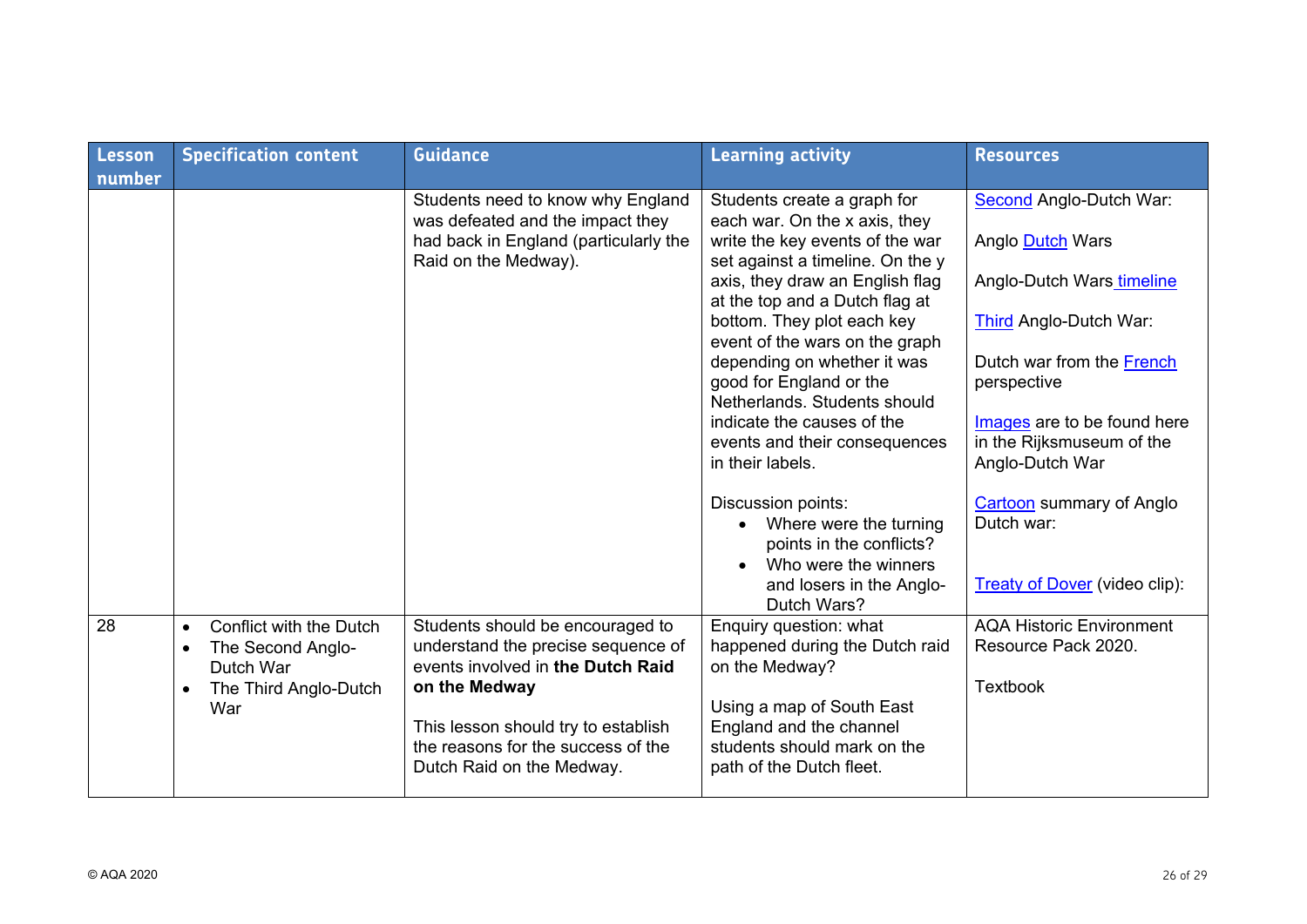| <b>Lesson</b><br>number | <b>Specification content</b>                                                                                                     | <b>Guidance</b>                                                                                                                                                                                                                        | <b>Learning activity</b>                                                                                                                                                                                                                                                                                                                                                                                                                              | <b>Resources</b>                                                                                                                                                                                                                     |
|-------------------------|----------------------------------------------------------------------------------------------------------------------------------|----------------------------------------------------------------------------------------------------------------------------------------------------------------------------------------------------------------------------------------|-------------------------------------------------------------------------------------------------------------------------------------------------------------------------------------------------------------------------------------------------------------------------------------------------------------------------------------------------------------------------------------------------------------------------------------------------------|--------------------------------------------------------------------------------------------------------------------------------------------------------------------------------------------------------------------------------------|
|                         |                                                                                                                                  | Students need to know why England<br>was defeated and the impact they<br>had back in England (particularly the<br>Raid on the Medway).                                                                                                 | Students create a graph for<br>each war. On the x axis, they<br>write the key events of the war<br>set against a timeline. On the y<br>axis, they draw an English flag<br>at the top and a Dutch flag at<br>bottom. They plot each key<br>event of the wars on the graph<br>depending on whether it was<br>good for England or the<br>Netherlands, Students should<br>indicate the causes of the<br>events and their consequences<br>in their labels. | <b>Second Anglo-Dutch War:</b><br>Anglo Dutch Wars<br>Anglo-Dutch Wars timeline<br>Third Anglo-Dutch War:<br>Dutch war from the French<br>perspective<br>Images are to be found here<br>in the Rijksmuseum of the<br>Anglo-Dutch War |
|                         |                                                                                                                                  |                                                                                                                                                                                                                                        | Discussion points:<br>Where were the turning<br>points in the conflicts?<br>Who were the winners<br>and losers in the Anglo-<br>Dutch Wars?                                                                                                                                                                                                                                                                                                           | <b>Cartoon</b> summary of Anglo<br>Dutch war:<br><b>Treaty of Dover (video clip):</b>                                                                                                                                                |
| 28                      | Conflict with the Dutch<br>$\bullet$<br>The Second Anglo-<br>$\bullet$<br>Dutch War<br>The Third Anglo-Dutch<br>$\bullet$<br>War | Students should be encouraged to<br>understand the precise sequence of<br>events involved in the Dutch Raid<br>on the Medway<br>This lesson should try to establish<br>the reasons for the success of the<br>Dutch Raid on the Medway. | Enquiry question: what<br>happened during the Dutch raid<br>on the Medway?<br>Using a map of South East<br>England and the channel<br>students should mark on the<br>path of the Dutch fleet.                                                                                                                                                                                                                                                         | <b>AQA Historic Environment</b><br>Resource Pack 2020.<br><b>Textbook</b>                                                                                                                                                            |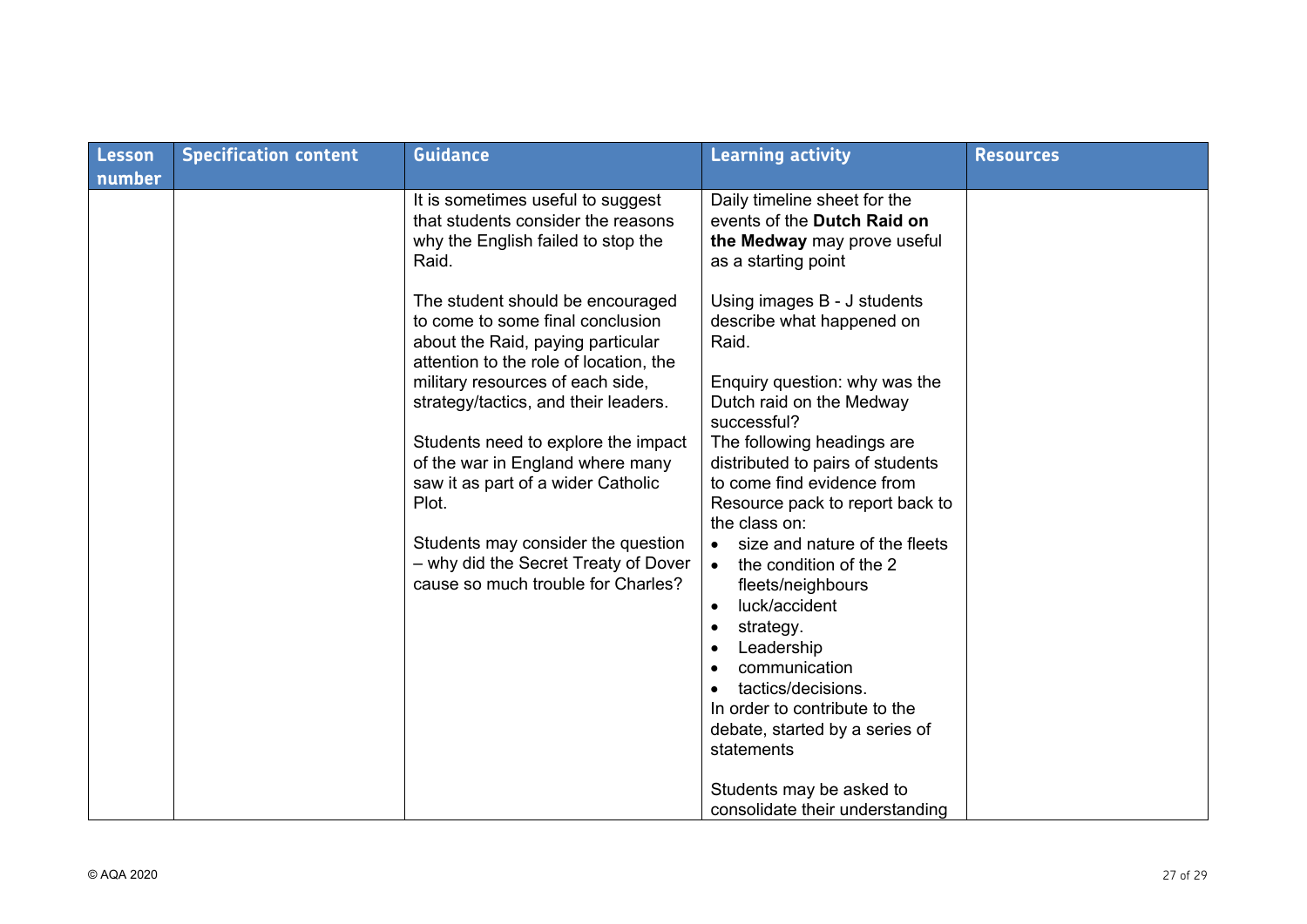| Lesson | <b>Specification content</b> | <b>Guidance</b>                                                                                                                                                                                                                                                                                                                                                                                                                                                               | <b>Learning activity</b>                                                                                                                                                                                                                                                                                                                                                                                                                                                                                                                                  | <b>Resources</b> |
|--------|------------------------------|-------------------------------------------------------------------------------------------------------------------------------------------------------------------------------------------------------------------------------------------------------------------------------------------------------------------------------------------------------------------------------------------------------------------------------------------------------------------------------|-----------------------------------------------------------------------------------------------------------------------------------------------------------------------------------------------------------------------------------------------------------------------------------------------------------------------------------------------------------------------------------------------------------------------------------------------------------------------------------------------------------------------------------------------------------|------------------|
| number |                              |                                                                                                                                                                                                                                                                                                                                                                                                                                                                               |                                                                                                                                                                                                                                                                                                                                                                                                                                                                                                                                                           |                  |
|        |                              | It is sometimes useful to suggest<br>that students consider the reasons<br>why the English failed to stop the<br>Raid.                                                                                                                                                                                                                                                                                                                                                        | Daily timeline sheet for the<br>events of the Dutch Raid on<br>the Medway may prove useful<br>as a starting point                                                                                                                                                                                                                                                                                                                                                                                                                                         |                  |
|        |                              | The student should be encouraged<br>to come to some final conclusion<br>about the Raid, paying particular<br>attention to the role of location, the<br>military resources of each side,<br>strategy/tactics, and their leaders.<br>Students need to explore the impact<br>of the war in England where many<br>saw it as part of a wider Catholic<br>Plot.<br>Students may consider the question<br>- why did the Secret Treaty of Dover<br>cause so much trouble for Charles? | Using images B - J students<br>describe what happened on<br>Raid.<br>Enquiry question: why was the<br>Dutch raid on the Medway<br>successful?<br>The following headings are<br>distributed to pairs of students<br>to come find evidence from<br>Resource pack to report back to<br>the class on:<br>size and nature of the fleets<br>the condition of the 2<br>$\bullet$<br>fleets/neighbours<br>luck/accident<br>$\bullet$<br>strategy.<br>$\bullet$<br>Leadership<br>communication<br>tactics/decisions.<br>$\bullet$<br>In order to contribute to the |                  |
|        |                              |                                                                                                                                                                                                                                                                                                                                                                                                                                                                               | debate, started by a series of<br>statements<br>Students may be asked to                                                                                                                                                                                                                                                                                                                                                                                                                                                                                  |                  |
|        |                              |                                                                                                                                                                                                                                                                                                                                                                                                                                                                               | consolidate their understanding                                                                                                                                                                                                                                                                                                                                                                                                                                                                                                                           |                  |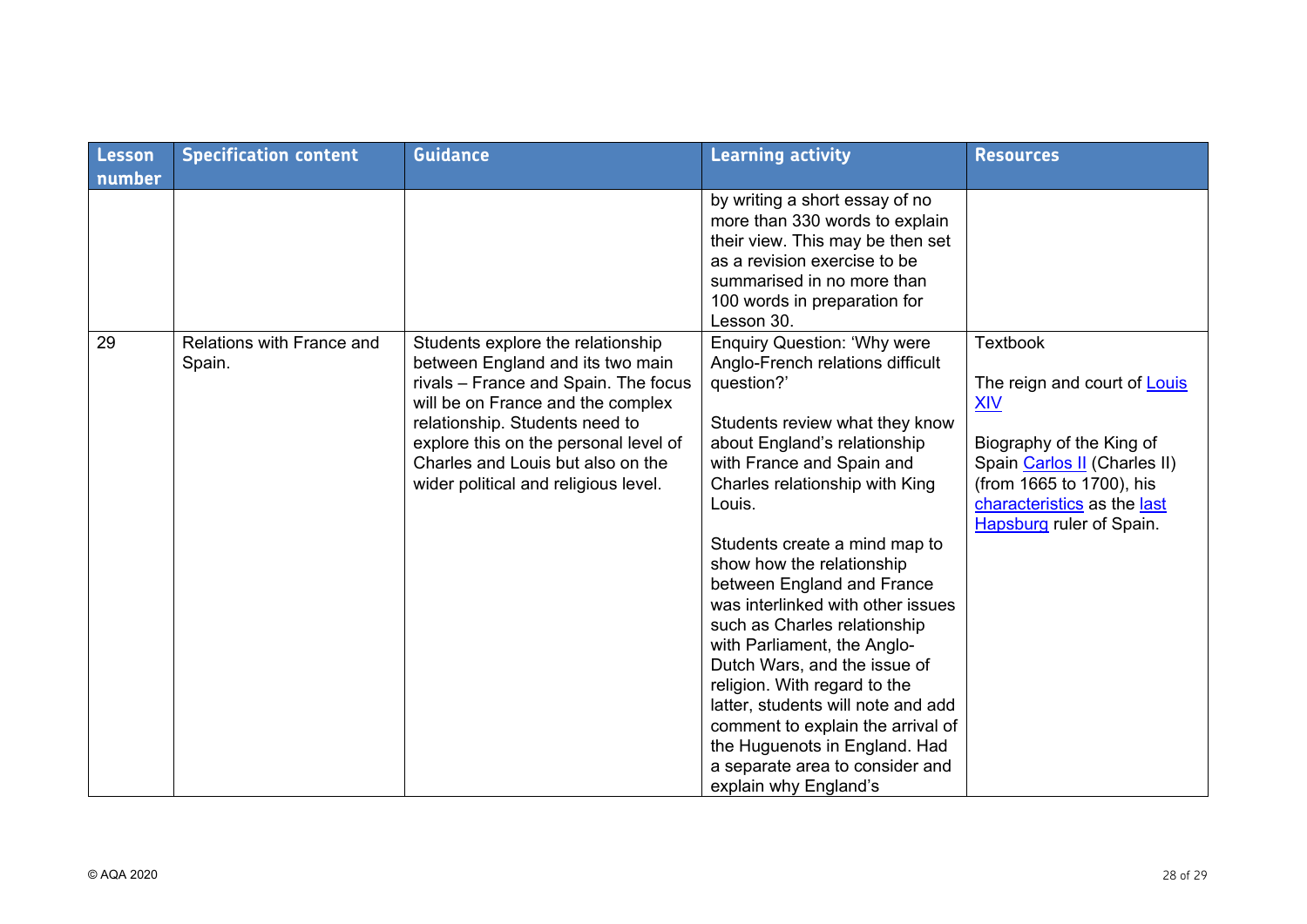| <b>Lesson</b> | <b>Specification content</b>        | <b>Guidance</b>                                                                                                                                                                                                                                                                                            | <b>Learning activity</b>                                                                                                                                                                                                                                                                                                                                                                                                                                                                                                                                                                                                                                                | <b>Resources</b>                                                                                                                                                                                                        |
|---------------|-------------------------------------|------------------------------------------------------------------------------------------------------------------------------------------------------------------------------------------------------------------------------------------------------------------------------------------------------------|-------------------------------------------------------------------------------------------------------------------------------------------------------------------------------------------------------------------------------------------------------------------------------------------------------------------------------------------------------------------------------------------------------------------------------------------------------------------------------------------------------------------------------------------------------------------------------------------------------------------------------------------------------------------------|-------------------------------------------------------------------------------------------------------------------------------------------------------------------------------------------------------------------------|
| number        |                                     |                                                                                                                                                                                                                                                                                                            |                                                                                                                                                                                                                                                                                                                                                                                                                                                                                                                                                                                                                                                                         |                                                                                                                                                                                                                         |
|               |                                     |                                                                                                                                                                                                                                                                                                            | by writing a short essay of no<br>more than 330 words to explain<br>their view. This may be then set<br>as a revision exercise to be<br>summarised in no more than<br>100 words in preparation for<br>Lesson 30.                                                                                                                                                                                                                                                                                                                                                                                                                                                        |                                                                                                                                                                                                                         |
| 29            | Relations with France and<br>Spain. | Students explore the relationship<br>between England and its two main<br>rivals - France and Spain. The focus<br>will be on France and the complex<br>relationship. Students need to<br>explore this on the personal level of<br>Charles and Louis but also on the<br>wider political and religious level. | <b>Enquiry Question: 'Why were</b><br>Anglo-French relations difficult<br>question?'<br>Students review what they know<br>about England's relationship<br>with France and Spain and<br>Charles relationship with King<br>Louis.<br>Students create a mind map to<br>show how the relationship<br>between England and France<br>was interlinked with other issues<br>such as Charles relationship<br>with Parliament, the Anglo-<br>Dutch Wars, and the issue of<br>religion. With regard to the<br>latter, students will note and add<br>comment to explain the arrival of<br>the Huguenots in England. Had<br>a separate area to consider and<br>explain why England's | <b>Textbook</b><br>The reign and court of Louis<br><b>XIV</b><br>Biography of the King of<br>Spain Carlos II (Charles II)<br>(from 1665 to 1700), his<br>characteristics as the last<br><b>Hapsburg ruler of Spain.</b> |